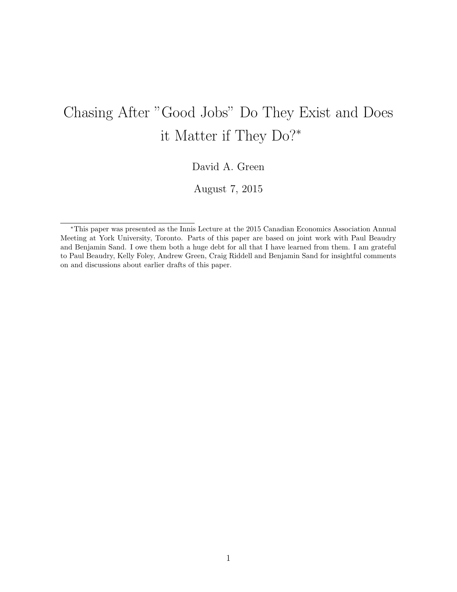# Chasing After "Good Jobs" Do They Exist and Does it Matter if They Do?<sup>∗</sup>

## David A. Green

August 7, 2015

<sup>∗</sup>This paper was presented as the Innis Lecture at the 2015 Canadian Economics Association Annual Meeting at York University, Toronto. Parts of this paper are based on joint work with Paul Beaudry and Benjamin Sand. I owe them both a huge debt for all that I have learned from them. I am grateful to Paul Beaudry, Kelly Foley, Andrew Green, Craig Riddell and Benjamin Sand for insightful comments on and discussions about earlier drafts of this paper.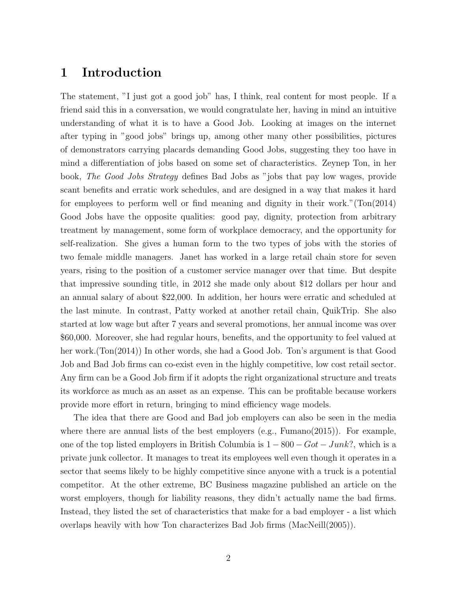# 1 Introduction

The statement, "I just got a good job" has, I think, real content for most people. If a friend said this in a conversation, we would congratulate her, having in mind an intuitive understanding of what it is to have a Good Job. Looking at images on the internet after typing in "good jobs" brings up, among other many other possibilities, pictures of demonstrators carrying placards demanding Good Jobs, suggesting they too have in mind a differentiation of jobs based on some set of characteristics. Zeynep Ton, in her book, The Good Jobs Strategy defines Bad Jobs as "jobs that pay low wages, provide scant benefits and erratic work schedules, and are designed in a way that makes it hard for employees to perform well or find meaning and dignity in their work."(Ton(2014) Good Jobs have the opposite qualities: good pay, dignity, protection from arbitrary treatment by management, some form of workplace democracy, and the opportunity for self-realization. She gives a human form to the two types of jobs with the stories of two female middle managers. Janet has worked in a large retail chain store for seven years, rising to the position of a customer service manager over that time. But despite that impressive sounding title, in 2012 she made only about \$12 dollars per hour and an annual salary of about \$22,000. In addition, her hours were erratic and scheduled at the last minute. In contrast, Patty worked at another retail chain, QuikTrip. She also started at low wage but after 7 years and several promotions, her annual income was over \$60,000. Moreover, she had regular hours, benefits, and the opportunity to feel valued at her work.(Ton(2014)) In other words, she had a Good Job. Ton's argument is that Good Job and Bad Job firms can co-exist even in the highly competitive, low cost retail sector. Any firm can be a Good Job firm if it adopts the right organizational structure and treats its workforce as much as an asset as an expense. This can be profitable because workers provide more effort in return, bringing to mind efficiency wage models.

The idea that there are Good and Bad job employers can also be seen in the media where there are annual lists of the best employers (e.g., Fumano(2015)). For example, one of the top listed employers in British Columbia is  $1 - 800 - Got - Junk$ ?, which is a private junk collector. It manages to treat its employees well even though it operates in a sector that seems likely to be highly competitive since anyone with a truck is a potential competitor. At the other extreme, BC Business magazine published an article on the worst employers, though for liability reasons, they didn't actually name the bad firms. Instead, they listed the set of characteristics that make for a bad employer - a list which overlaps heavily with how Ton characterizes Bad Job firms (MacNeill(2005)).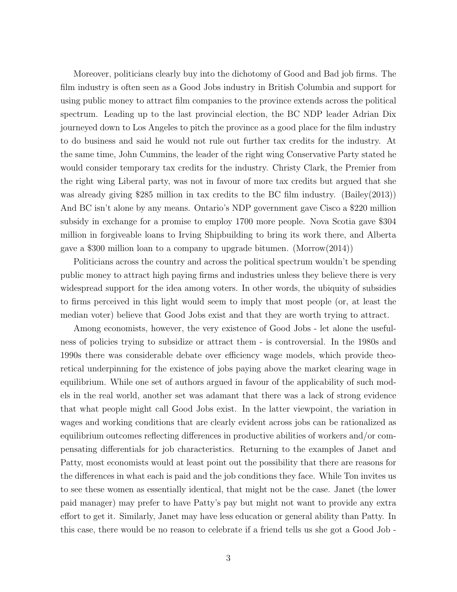Moreover, politicians clearly buy into the dichotomy of Good and Bad job firms. The film industry is often seen as a Good Jobs industry in British Columbia and support for using public money to attract film companies to the province extends across the political spectrum. Leading up to the last provincial election, the BC NDP leader Adrian Dix journeyed down to Los Angeles to pitch the province as a good place for the film industry to do business and said he would not rule out further tax credits for the industry. At the same time, John Cummins, the leader of the right wing Conservative Party stated he would consider temporary tax credits for the industry. Christy Clark, the Premier from the right wing Liberal party, was not in favour of more tax credits but argued that she was already giving \$285 million in tax credits to the BC film industry. (Bailey(2013)) And BC isn't alone by any means. Ontario's NDP government gave Cisco a \$220 million subsidy in exchange for a promise to employ 1700 more people. Nova Scotia gave \$304 million in forgiveable loans to Irving Shipbuilding to bring its work there, and Alberta gave a \$300 million loan to a company to upgrade bitumen. (Morrow(2014))

Politicians across the country and across the political spectrum wouldn't be spending public money to attract high paying firms and industries unless they believe there is very widespread support for the idea among voters. In other words, the ubiquity of subsidies to firms perceived in this light would seem to imply that most people (or, at least the median voter) believe that Good Jobs exist and that they are worth trying to attract.

Among economists, however, the very existence of Good Jobs - let alone the usefulness of policies trying to subsidize or attract them - is controversial. In the 1980s and 1990s there was considerable debate over efficiency wage models, which provide theoretical underpinning for the existence of jobs paying above the market clearing wage in equilibrium. While one set of authors argued in favour of the applicability of such models in the real world, another set was adamant that there was a lack of strong evidence that what people might call Good Jobs exist. In the latter viewpoint, the variation in wages and working conditions that are clearly evident across jobs can be rationalized as equilibrium outcomes reflecting differences in productive abilities of workers and/or compensating differentials for job characteristics. Returning to the examples of Janet and Patty, most economists would at least point out the possibility that there are reasons for the differences in what each is paid and the job conditions they face. While Ton invites us to see these women as essentially identical, that might not be the case. Janet (the lower paid manager) may prefer to have Patty's pay but might not want to provide any extra effort to get it. Similarly, Janet may have less education or general ability than Patty. In this case, there would be no reason to celebrate if a friend tells us she got a Good Job -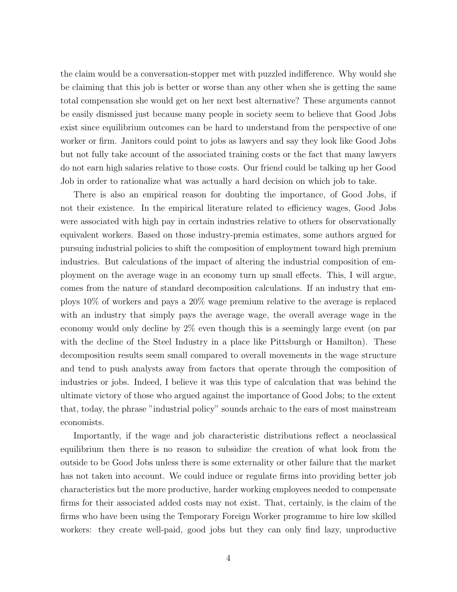the claim would be a conversation-stopper met with puzzled indifference. Why would she be claiming that this job is better or worse than any other when she is getting the same total compensation she would get on her next best alternative? These arguments cannot be easily dismissed just because many people in society seem to believe that Good Jobs exist since equilibrium outcomes can be hard to understand from the perspective of one worker or firm. Janitors could point to jobs as lawyers and say they look like Good Jobs but not fully take account of the associated training costs or the fact that many lawyers do not earn high salaries relative to those costs. Our friend could be talking up her Good Job in order to rationalize what was actually a hard decision on which job to take.

There is also an empirical reason for doubting the importance, of Good Jobs, if not their existence. In the empirical literature related to efficiency wages, Good Jobs were associated with high pay in certain industries relative to others for observationally equivalent workers. Based on those industry-premia estimates, some authors argued for pursuing industrial policies to shift the composition of employment toward high premium industries. But calculations of the impact of altering the industrial composition of employment on the average wage in an economy turn up small effects. This, I will argue, comes from the nature of standard decomposition calculations. If an industry that employs 10% of workers and pays a 20% wage premium relative to the average is replaced with an industry that simply pays the average wage, the overall average wage in the economy would only decline by 2% even though this is a seemingly large event (on par with the decline of the Steel Industry in a place like Pittsburgh or Hamilton). These decomposition results seem small compared to overall movements in the wage structure and tend to push analysts away from factors that operate through the composition of industries or jobs. Indeed, I believe it was this type of calculation that was behind the ultimate victory of those who argued against the importance of Good Jobs; to the extent that, today, the phrase "industrial policy" sounds archaic to the ears of most mainstream economists.

Importantly, if the wage and job characteristic distributions reflect a neoclassical equilibrium then there is no reason to subsidize the creation of what look from the outside to be Good Jobs unless there is some externality or other failure that the market has not taken into account. We could induce or regulate firms into providing better job characteristics but the more productive, harder working employees needed to compensate firms for their associated added costs may not exist. That, certainly, is the claim of the firms who have been using the Temporary Foreign Worker programme to hire low skilled workers: they create well-paid, good jobs but they can only find lazy, unproductive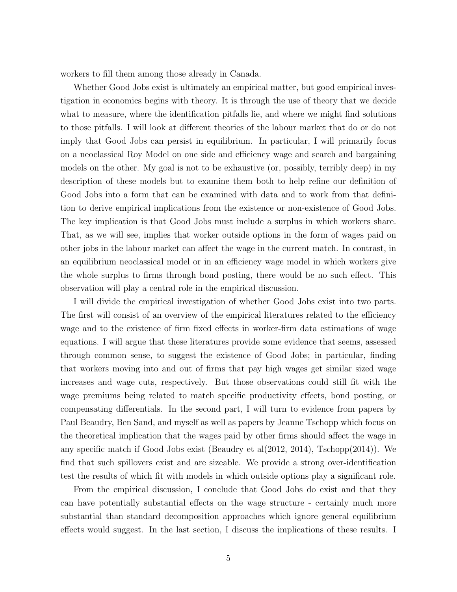workers to fill them among those already in Canada.

Whether Good Jobs exist is ultimately an empirical matter, but good empirical investigation in economics begins with theory. It is through the use of theory that we decide what to measure, where the identification pitfalls lie, and where we might find solutions to those pitfalls. I will look at different theories of the labour market that do or do not imply that Good Jobs can persist in equilibrium. In particular, I will primarily focus on a neoclassical Roy Model on one side and efficiency wage and search and bargaining models on the other. My goal is not to be exhaustive (or, possibly, terribly deep) in my description of these models but to examine them both to help refine our definition of Good Jobs into a form that can be examined with data and to work from that definition to derive empirical implications from the existence or non-existence of Good Jobs. The key implication is that Good Jobs must include a surplus in which workers share. That, as we will see, implies that worker outside options in the form of wages paid on other jobs in the labour market can affect the wage in the current match. In contrast, in an equilibrium neoclassical model or in an efficiency wage model in which workers give the whole surplus to firms through bond posting, there would be no such effect. This observation will play a central role in the empirical discussion.

I will divide the empirical investigation of whether Good Jobs exist into two parts. The first will consist of an overview of the empirical literatures related to the efficiency wage and to the existence of firm fixed effects in worker-firm data estimations of wage equations. I will argue that these literatures provide some evidence that seems, assessed through common sense, to suggest the existence of Good Jobs; in particular, finding that workers moving into and out of firms that pay high wages get similar sized wage increases and wage cuts, respectively. But those observations could still fit with the wage premiums being related to match specific productivity effects, bond posting, or compensating differentials. In the second part, I will turn to evidence from papers by Paul Beaudry, Ben Sand, and myself as well as papers by Jeanne Tschopp which focus on the theoretical implication that the wages paid by other firms should affect the wage in any specific match if Good Jobs exist (Beaudry et al(2012, 2014), Tschopp(2014)). We find that such spillovers exist and are sizeable. We provide a strong over-identification test the results of which fit with models in which outside options play a significant role.

From the empirical discussion, I conclude that Good Jobs do exist and that they can have potentially substantial effects on the wage structure - certainly much more substantial than standard decomposition approaches which ignore general equilibrium effects would suggest. In the last section, I discuss the implications of these results. I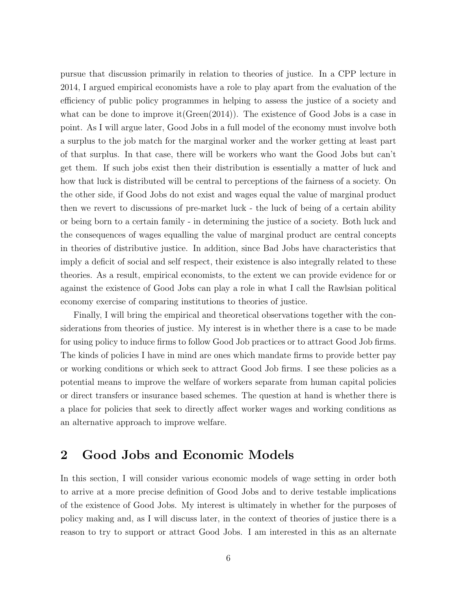pursue that discussion primarily in relation to theories of justice. In a CPP lecture in 2014, I argued empirical economists have a role to play apart from the evaluation of the efficiency of public policy programmes in helping to assess the justice of a society and what can be done to improve it  $(Green(2014))$ . The existence of Good Jobs is a case in point. As I will argue later, Good Jobs in a full model of the economy must involve both a surplus to the job match for the marginal worker and the worker getting at least part of that surplus. In that case, there will be workers who want the Good Jobs but can't get them. If such jobs exist then their distribution is essentially a matter of luck and how that luck is distributed will be central to perceptions of the fairness of a society. On the other side, if Good Jobs do not exist and wages equal the value of marginal product then we revert to discussions of pre-market luck - the luck of being of a certain ability or being born to a certain family - in determining the justice of a society. Both luck and the consequences of wages equalling the value of marginal product are central concepts in theories of distributive justice. In addition, since Bad Jobs have characteristics that imply a deficit of social and self respect, their existence is also integrally related to these theories. As a result, empirical economists, to the extent we can provide evidence for or against the existence of Good Jobs can play a role in what I call the Rawlsian political economy exercise of comparing institutions to theories of justice.

Finally, I will bring the empirical and theoretical observations together with the considerations from theories of justice. My interest is in whether there is a case to be made for using policy to induce firms to follow Good Job practices or to attract Good Job firms. The kinds of policies I have in mind are ones which mandate firms to provide better pay or working conditions or which seek to attract Good Job firms. I see these policies as a potential means to improve the welfare of workers separate from human capital policies or direct transfers or insurance based schemes. The question at hand is whether there is a place for policies that seek to directly affect worker wages and working conditions as an alternative approach to improve welfare.

# 2 Good Jobs and Economic Models

In this section, I will consider various economic models of wage setting in order both to arrive at a more precise definition of Good Jobs and to derive testable implications of the existence of Good Jobs. My interest is ultimately in whether for the purposes of policy making and, as I will discuss later, in the context of theories of justice there is a reason to try to support or attract Good Jobs. I am interested in this as an alternate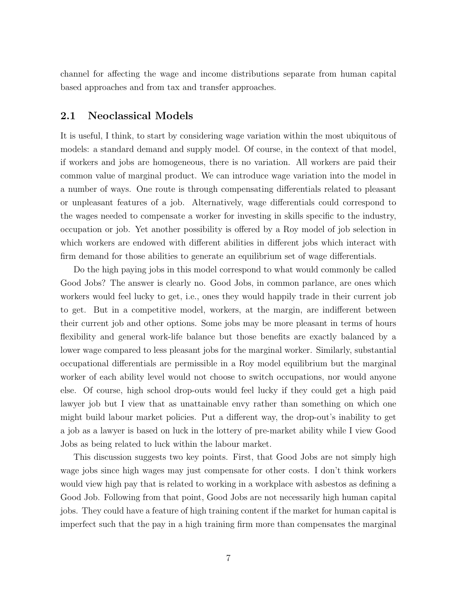channel for affecting the wage and income distributions separate from human capital based approaches and from tax and transfer approaches.

### 2.1 Neoclassical Models

It is useful, I think, to start by considering wage variation within the most ubiquitous of models: a standard demand and supply model. Of course, in the context of that model, if workers and jobs are homogeneous, there is no variation. All workers are paid their common value of marginal product. We can introduce wage variation into the model in a number of ways. One route is through compensating differentials related to pleasant or unpleasant features of a job. Alternatively, wage differentials could correspond to the wages needed to compensate a worker for investing in skills specific to the industry, occupation or job. Yet another possibility is offered by a Roy model of job selection in which workers are endowed with different abilities in different jobs which interact with firm demand for those abilities to generate an equilibrium set of wage differentials.

Do the high paying jobs in this model correspond to what would commonly be called Good Jobs? The answer is clearly no. Good Jobs, in common parlance, are ones which workers would feel lucky to get, i.e., ones they would happily trade in their current job to get. But in a competitive model, workers, at the margin, are indifferent between their current job and other options. Some jobs may be more pleasant in terms of hours flexibility and general work-life balance but those benefits are exactly balanced by a lower wage compared to less pleasant jobs for the marginal worker. Similarly, substantial occupational differentials are permissible in a Roy model equilibrium but the marginal worker of each ability level would not choose to switch occupations, nor would anyone else. Of course, high school drop-outs would feel lucky if they could get a high paid lawyer job but I view that as unattainable envy rather than something on which one might build labour market policies. Put a different way, the drop-out's inability to get a job as a lawyer is based on luck in the lottery of pre-market ability while I view Good Jobs as being related to luck within the labour market.

This discussion suggests two key points. First, that Good Jobs are not simply high wage jobs since high wages may just compensate for other costs. I don't think workers would view high pay that is related to working in a workplace with asbestos as defining a Good Job. Following from that point, Good Jobs are not necessarily high human capital jobs. They could have a feature of high training content if the market for human capital is imperfect such that the pay in a high training firm more than compensates the marginal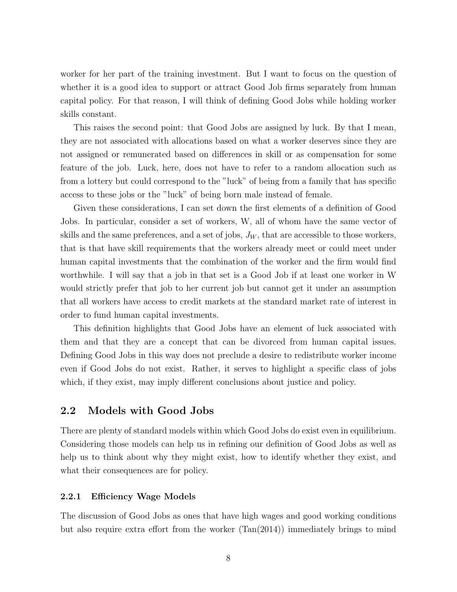worker for her part of the training investment. But I want to focus on the question of whether it is a good idea to support or attract Good Job firms separately from human capital policy. For that reason, I will think of defining Good Jobs while holding worker skills constant.

This raises the second point: that Good Jobs are assigned by luck. By that I mean, they are not associated with allocations based on what a worker deserves since they are not assigned or remunerated based on differences in skill or as compensation for some feature of the job. Luck, here, does not have to refer to a random allocation such as from a lottery but could correspond to the "luck" of being from a family that has specific access to these jobs or the "luck" of being born male instead of female.

Given these considerations, I can set down the first elements of a definition of Good Jobs. In particular, consider a set of workers, W, all of whom have the same vector of skills and the same preferences, and a set of jobs,  $J_W$ , that are accessible to those workers, that is that have skill requirements that the workers already meet or could meet under human capital investments that the combination of the worker and the firm would find worthwhile. I will say that a job in that set is a Good Job if at least one worker in W would strictly prefer that job to her current job but cannot get it under an assumption that all workers have access to credit markets at the standard market rate of interest in order to fund human capital investments.

This definition highlights that Good Jobs have an element of luck associated with them and that they are a concept that can be divorced from human capital issues. Defining Good Jobs in this way does not preclude a desire to redistribute worker income even if Good Jobs do not exist. Rather, it serves to highlight a specific class of jobs which, if they exist, may imply different conclusions about justice and policy.

### 2.2 Models with Good Jobs

There are plenty of standard models within which Good Jobs do exist even in equilibrium. Considering those models can help us in refining our definition of Good Jobs as well as help us to think about why they might exist, how to identify whether they exist, and what their consequences are for policy.

#### 2.2.1 Efficiency Wage Models

The discussion of Good Jobs as ones that have high wages and good working conditions but also require extra effort from the worker  $(Tan(2014))$  immediately brings to mind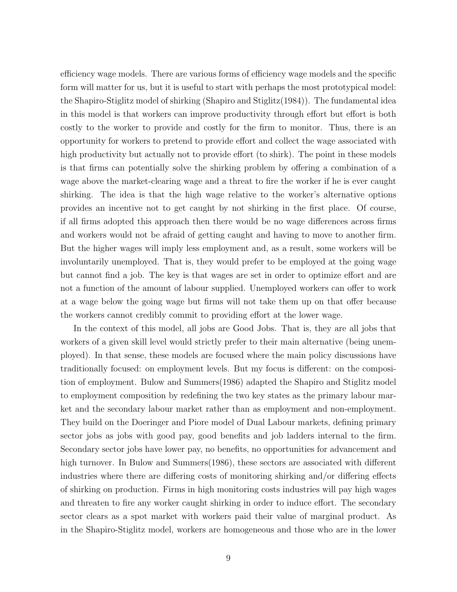efficiency wage models. There are various forms of efficiency wage models and the specific form will matter for us, but it is useful to start with perhaps the most prototypical model: the Shapiro-Stiglitz model of shirking (Shapiro and Stiglitz(1984)). The fundamental idea in this model is that workers can improve productivity through effort but effort is both costly to the worker to provide and costly for the firm to monitor. Thus, there is an opportunity for workers to pretend to provide effort and collect the wage associated with high productivity but actually not to provide effort (to shirk). The point in these models is that firms can potentially solve the shirking problem by offering a combination of a wage above the market-clearing wage and a threat to fire the worker if he is ever caught shirking. The idea is that the high wage relative to the worker's alternative options provides an incentive not to get caught by not shirking in the first place. Of course, if all firms adopted this approach then there would be no wage differences across firms and workers would not be afraid of getting caught and having to move to another firm. But the higher wages will imply less employment and, as a result, some workers will be involuntarily unemployed. That is, they would prefer to be employed at the going wage but cannot find a job. The key is that wages are set in order to optimize effort and are not a function of the amount of labour supplied. Unemployed workers can offer to work at a wage below the going wage but firms will not take them up on that offer because the workers cannot credibly commit to providing effort at the lower wage.

In the context of this model, all jobs are Good Jobs. That is, they are all jobs that workers of a given skill level would strictly prefer to their main alternative (being unemployed). In that sense, these models are focused where the main policy discussions have traditionally focused: on employment levels. But my focus is different: on the composition of employment. Bulow and Summers(1986) adapted the Shapiro and Stiglitz model to employment composition by redefining the two key states as the primary labour market and the secondary labour market rather than as employment and non-employment. They build on the Doeringer and Piore model of Dual Labour markets, defining primary sector jobs as jobs with good pay, good benefits and job ladders internal to the firm. Secondary sector jobs have lower pay, no benefits, no opportunities for advancement and high turnover. In Bulow and Summers(1986), these sectors are associated with different industries where there are differing costs of monitoring shirking and/or differing effects of shirking on production. Firms in high monitoring costs industries will pay high wages and threaten to fire any worker caught shirking in order to induce effort. The secondary sector clears as a spot market with workers paid their value of marginal product. As in the Shapiro-Stiglitz model, workers are homogeneous and those who are in the lower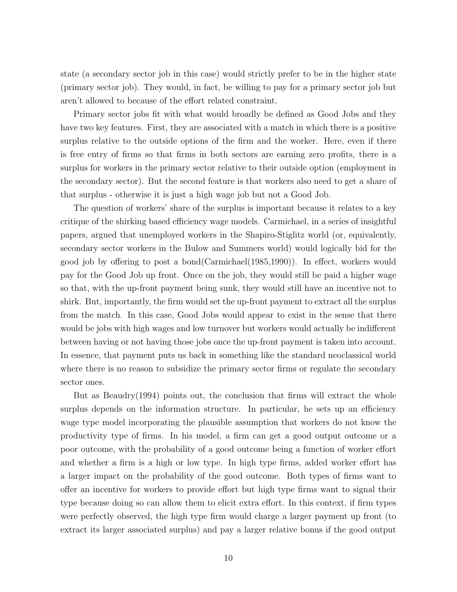state (a secondary sector job in this case) would strictly prefer to be in the higher state (primary sector job). They would, in fact, be willing to pay for a primary sector job but aren't allowed to because of the effort related constraint.

Primary sector jobs fit with what would broadly be defined as Good Jobs and they have two key features. First, they are associated with a match in which there is a positive surplus relative to the outside options of the firm and the worker. Here, even if there is free entry of firms so that firms in both sectors are earning zero profits, there is a surplus for workers in the primary sector relative to their outside option (employment in the secondary sector). But the second feature is that workers also need to get a share of that surplus - otherwise it is just a high wage job but not a Good Job.

The question of workers' share of the surplus is important because it relates to a key critique of the shirking based efficiency wage models. Carmichael, in a series of insightful papers, argued that unemployed workers in the Shapiro-Stiglitz world (or, equivalently, secondary sector workers in the Bulow and Summers world) would logically bid for the good job by offering to post a bond(Carmichael(1985,1990)). In effect, workers would pay for the Good Job up front. Once on the job, they would still be paid a higher wage so that, with the up-front payment being sunk, they would still have an incentive not to shirk. But, importantly, the firm would set the up-front payment to extract all the surplus from the match. In this case, Good Jobs would appear to exist in the sense that there would be jobs with high wages and low turnover but workers would actually be indifferent between having or not having those jobs once the up-front payment is taken into account. In essence, that payment puts us back in something like the standard neoclassical world where there is no reason to subsidize the primary sector firms or regulate the secondary sector ones.

But as Beaudry(1994) points out, the conclusion that firms will extract the whole surplus depends on the information structure. In particular, he sets up an efficiency wage type model incorporating the plausible assumption that workers do not know the productivity type of firms. In his model, a firm can get a good output outcome or a poor outcome, with the probability of a good outcome being a function of worker effort and whether a firm is a high or low type. In high type firms, added worker effort has a larger impact on the probability of the good outcome. Both types of firms want to offer an incentive for workers to provide effort but high type firms want to signal their type because doing so can allow them to elicit extra effort. In this context, if firm types were perfectly observed, the high type firm would charge a larger payment up front (to extract its larger associated surplus) and pay a larger relative bonus if the good output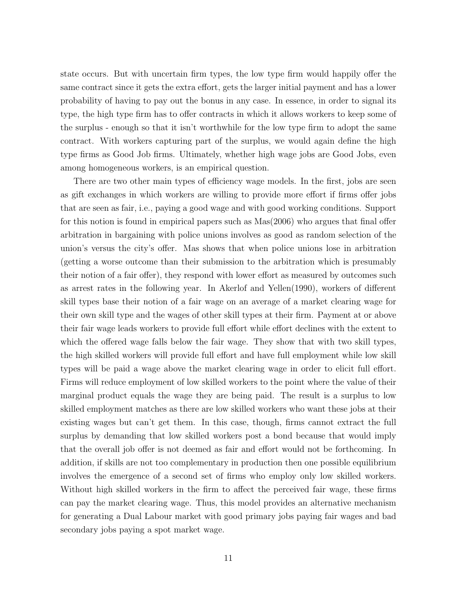state occurs. But with uncertain firm types, the low type firm would happily offer the same contract since it gets the extra effort, gets the larger initial payment and has a lower probability of having to pay out the bonus in any case. In essence, in order to signal its type, the high type firm has to offer contracts in which it allows workers to keep some of the surplus - enough so that it isn't worthwhile for the low type firm to adopt the same contract. With workers capturing part of the surplus, we would again define the high type firms as Good Job firms. Ultimately, whether high wage jobs are Good Jobs, even among homogeneous workers, is an empirical question.

There are two other main types of efficiency wage models. In the first, jobs are seen as gift exchanges in which workers are willing to provide more effort if firms offer jobs that are seen as fair, i.e., paying a good wage and with good working conditions. Support for this notion is found in empirical papers such as Mas(2006) who argues that final offer arbitration in bargaining with police unions involves as good as random selection of the union's versus the city's offer. Mas shows that when police unions lose in arbitration (getting a worse outcome than their submission to the arbitration which is presumably their notion of a fair offer), they respond with lower effort as measured by outcomes such as arrest rates in the following year. In Akerlof and Yellen(1990), workers of different skill types base their notion of a fair wage on an average of a market clearing wage for their own skill type and the wages of other skill types at their firm. Payment at or above their fair wage leads workers to provide full effort while effort declines with the extent to which the offered wage falls below the fair wage. They show that with two skill types, the high skilled workers will provide full effort and have full employment while low skill types will be paid a wage above the market clearing wage in order to elicit full effort. Firms will reduce employment of low skilled workers to the point where the value of their marginal product equals the wage they are being paid. The result is a surplus to low skilled employment matches as there are low skilled workers who want these jobs at their existing wages but can't get them. In this case, though, firms cannot extract the full surplus by demanding that low skilled workers post a bond because that would imply that the overall job offer is not deemed as fair and effort would not be forthcoming. In addition, if skills are not too complementary in production then one possible equilibrium involves the emergence of a second set of firms who employ only low skilled workers. Without high skilled workers in the firm to affect the perceived fair wage, these firms can pay the market clearing wage. Thus, this model provides an alternative mechanism for generating a Dual Labour market with good primary jobs paying fair wages and bad secondary jobs paying a spot market wage.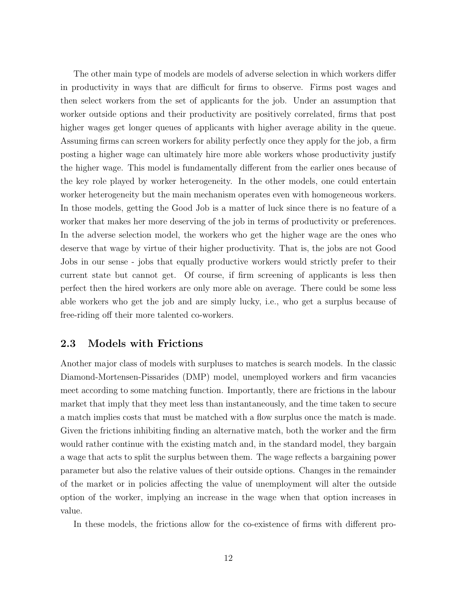The other main type of models are models of adverse selection in which workers differ in productivity in ways that are difficult for firms to observe. Firms post wages and then select workers from the set of applicants for the job. Under an assumption that worker outside options and their productivity are positively correlated, firms that post higher wages get longer queues of applicants with higher average ability in the queue. Assuming firms can screen workers for ability perfectly once they apply for the job, a firm posting a higher wage can ultimately hire more able workers whose productivity justify the higher wage. This model is fundamentally different from the earlier ones because of the key role played by worker heterogeneity. In the other models, one could entertain worker heterogeneity but the main mechanism operates even with homogeneous workers. In those models, getting the Good Job is a matter of luck since there is no feature of a worker that makes her more deserving of the job in terms of productivity or preferences. In the adverse selection model, the workers who get the higher wage are the ones who deserve that wage by virtue of their higher productivity. That is, the jobs are not Good Jobs in our sense - jobs that equally productive workers would strictly prefer to their current state but cannot get. Of course, if firm screening of applicants is less then perfect then the hired workers are only more able on average. There could be some less able workers who get the job and are simply lucky, i.e., who get a surplus because of free-riding off their more talented co-workers.

### 2.3 Models with Frictions

Another major class of models with surpluses to matches is search models. In the classic Diamond-Mortensen-Pissarides (DMP) model, unemployed workers and firm vacancies meet according to some matching function. Importantly, there are frictions in the labour market that imply that they meet less than instantaneously, and the time taken to secure a match implies costs that must be matched with a flow surplus once the match is made. Given the frictions inhibiting finding an alternative match, both the worker and the firm would rather continue with the existing match and, in the standard model, they bargain a wage that acts to split the surplus between them. The wage reflects a bargaining power parameter but also the relative values of their outside options. Changes in the remainder of the market or in policies affecting the value of unemployment will alter the outside option of the worker, implying an increase in the wage when that option increases in value.

In these models, the frictions allow for the co-existence of firms with different pro-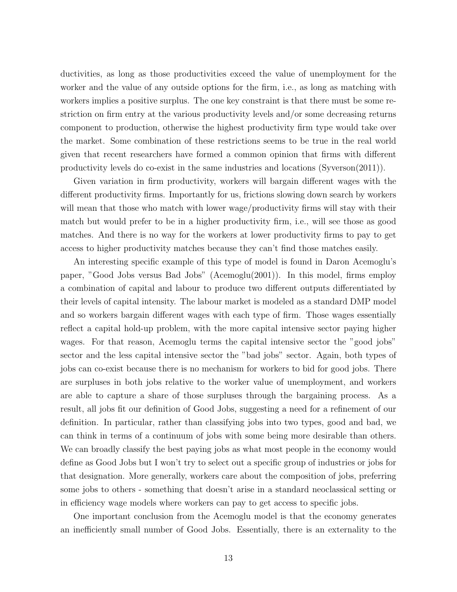ductivities, as long as those productivities exceed the value of unemployment for the worker and the value of any outside options for the firm, i.e., as long as matching with workers implies a positive surplus. The one key constraint is that there must be some restriction on firm entry at the various productivity levels and/or some decreasing returns component to production, otherwise the highest productivity firm type would take over the market. Some combination of these restrictions seems to be true in the real world given that recent researchers have formed a common opinion that firms with different productivity levels do co-exist in the same industries and locations (Syverson(2011)).

Given variation in firm productivity, workers will bargain different wages with the different productivity firms. Importantly for us, frictions slowing down search by workers will mean that those who match with lower wage/productivity firms will stay with their match but would prefer to be in a higher productivity firm, i.e., will see those as good matches. And there is no way for the workers at lower productivity firms to pay to get access to higher productivity matches because they can't find those matches easily.

An interesting specific example of this type of model is found in Daron Acemoglu's paper, "Good Jobs versus Bad Jobs" (Acemoglu(2001)). In this model, firms employ a combination of capital and labour to produce two different outputs differentiated by their levels of capital intensity. The labour market is modeled as a standard DMP model and so workers bargain different wages with each type of firm. Those wages essentially reflect a capital hold-up problem, with the more capital intensive sector paying higher wages. For that reason, Acemoglu terms the capital intensive sector the "good jobs" sector and the less capital intensive sector the "bad jobs" sector. Again, both types of jobs can co-exist because there is no mechanism for workers to bid for good jobs. There are surpluses in both jobs relative to the worker value of unemployment, and workers are able to capture a share of those surpluses through the bargaining process. As a result, all jobs fit our definition of Good Jobs, suggesting a need for a refinement of our definition. In particular, rather than classifying jobs into two types, good and bad, we can think in terms of a continuum of jobs with some being more desirable than others. We can broadly classify the best paying jobs as what most people in the economy would define as Good Jobs but I won't try to select out a specific group of industries or jobs for that designation. More generally, workers care about the composition of jobs, preferring some jobs to others - something that doesn't arise in a standard neoclassical setting or in efficiency wage models where workers can pay to get access to specific jobs.

One important conclusion from the Acemoglu model is that the economy generates an inefficiently small number of Good Jobs. Essentially, there is an externality to the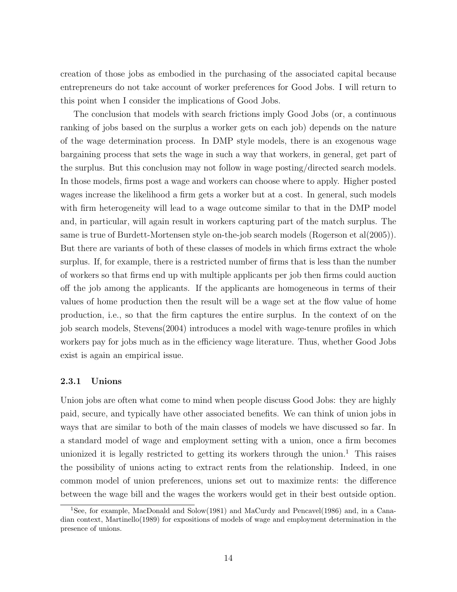creation of those jobs as embodied in the purchasing of the associated capital because entrepreneurs do not take account of worker preferences for Good Jobs. I will return to this point when I consider the implications of Good Jobs.

The conclusion that models with search frictions imply Good Jobs (or, a continuous ranking of jobs based on the surplus a worker gets on each job) depends on the nature of the wage determination process. In DMP style models, there is an exogenous wage bargaining process that sets the wage in such a way that workers, in general, get part of the surplus. But this conclusion may not follow in wage posting/directed search models. In those models, firms post a wage and workers can choose where to apply. Higher posted wages increase the likelihood a firm gets a worker but at a cost. In general, such models with firm heterogeneity will lead to a wage outcome similar to that in the DMP model and, in particular, will again result in workers capturing part of the match surplus. The same is true of Burdett-Mortensen style on-the-job search models  $(Rogerson et al(2005))$ . But there are variants of both of these classes of models in which firms extract the whole surplus. If, for example, there is a restricted number of firms that is less than the number of workers so that firms end up with multiple applicants per job then firms could auction off the job among the applicants. If the applicants are homogeneous in terms of their values of home production then the result will be a wage set at the flow value of home production, i.e., so that the firm captures the entire surplus. In the context of on the job search models, Stevens(2004) introduces a model with wage-tenure profiles in which workers pay for jobs much as in the efficiency wage literature. Thus, whether Good Jobs exist is again an empirical issue.

#### 2.3.1 Unions

Union jobs are often what come to mind when people discuss Good Jobs: they are highly paid, secure, and typically have other associated benefits. We can think of union jobs in ways that are similar to both of the main classes of models we have discussed so far. In a standard model of wage and employment setting with a union, once a firm becomes unionized it is legally restricted to getting its workers through the union.<sup>1</sup> This raises the possibility of unions acting to extract rents from the relationship. Indeed, in one common model of union preferences, unions set out to maximize rents: the difference between the wage bill and the wages the workers would get in their best outside option.

<sup>1</sup>See, for example, MacDonald and Solow(1981) and MaCurdy and Pencavel(1986) and, in a Canadian context, Martinello(1989) for expositions of models of wage and employment determination in the presence of unions.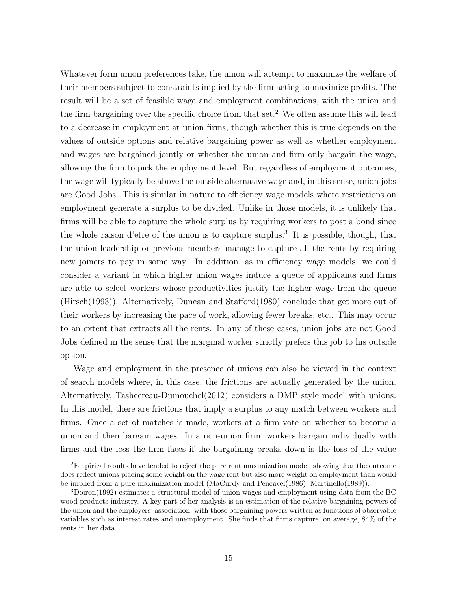Whatever form union preferences take, the union will attempt to maximize the welfare of their members subject to constraints implied by the firm acting to maximize profits. The result will be a set of feasible wage and employment combinations, with the union and the firm bargaining over the specific choice from that set.<sup>2</sup> We often assume this will lead to a decrease in employment at union firms, though whether this is true depends on the values of outside options and relative bargaining power as well as whether employment and wages are bargained jointly or whether the union and firm only bargain the wage, allowing the firm to pick the employment level. But regardless of employment outcomes, the wage will typically be above the outside alternative wage and, in this sense, union jobs are Good Jobs. This is similar in nature to efficiency wage models where restrictions on employment generate a surplus to be divided. Unlike in those models, it is unlikely that firms will be able to capture the whole surplus by requiring workers to post a bond since the whole raison d'etre of the union is to capture surplus.<sup>3</sup> It is possible, though, that the union leadership or previous members manage to capture all the rents by requiring new joiners to pay in some way. In addition, as in efficiency wage models, we could consider a variant in which higher union wages induce a queue of applicants and firms are able to select workers whose productivities justify the higher wage from the queue (Hirsch(1993)). Alternatively, Duncan and Stafford(1980) conclude that get more out of their workers by increasing the pace of work, allowing fewer breaks, etc.. This may occur to an extent that extracts all the rents. In any of these cases, union jobs are not Good Jobs defined in the sense that the marginal worker strictly prefers this job to his outside option.

Wage and employment in the presence of unions can also be viewed in the context of search models where, in this case, the frictions are actually generated by the union. Alternatively, Tashcereau-Dumouchel(2012) considers a DMP style model with unions. In this model, there are frictions that imply a surplus to any match between workers and firms. Once a set of matches is made, workers at a firm vote on whether to become a union and then bargain wages. In a non-union firm, workers bargain individually with firms and the loss the firm faces if the bargaining breaks down is the loss of the value

 ${}^{2}$ Empirical results have tended to reject the pure rent maximization model, showing that the outcome does reflect unions placing some weight on the wage rent but also more weight on employment than would be implied from a pure maximization model (MaCurdy and Pencavel(1986), Martinello(1989)).

<sup>3</sup>Doiron(1992) estimates a structural model of union wages and employment using data from the BC wood products industry. A key part of her analysis is an estimation of the relative bargaining powers of the union and the employers' association, with those bargaining powers written as functions of observable variables such as interest rates and unemployment. She finds that firms capture, on average, 84% of the rents in her data.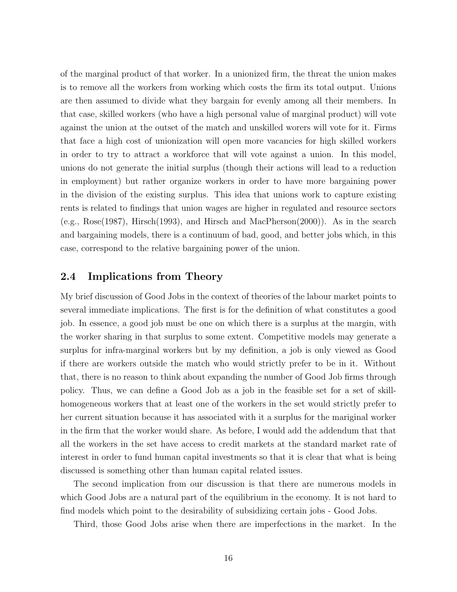of the marginal product of that worker. In a unionized firm, the threat the union makes is to remove all the workers from working which costs the firm its total output. Unions are then assumed to divide what they bargain for evenly among all their members. In that case, skilled workers (who have a high personal value of marginal product) will vote against the union at the outset of the match and unskilled worers will vote for it. Firms that face a high cost of unionization will open more vacancies for high skilled workers in order to try to attract a workforce that will vote against a union. In this model, unions do not generate the initial surplus (though their actions will lead to a reduction in employment) but rather organize workers in order to have more bargaining power in the division of the existing surplus. This idea that unions work to capture existing rents is related to findings that union wages are higher in regulated and resource sectors (e.g., Rose(1987), Hirsch(1993), and Hirsch and MacPherson(2000)). As in the search and bargaining models, there is a continuum of bad, good, and better jobs which, in this case, correspond to the relative bargaining power of the union.

### 2.4 Implications from Theory

My brief discussion of Good Jobs in the context of theories of the labour market points to several immediate implications. The first is for the definition of what constitutes a good job. In essence, a good job must be one on which there is a surplus at the margin, with the worker sharing in that surplus to some extent. Competitive models may generate a surplus for infra-marginal workers but by my definition, a job is only viewed as Good if there are workers outside the match who would strictly prefer to be in it. Without that, there is no reason to think about expanding the number of Good Job firms through policy. Thus, we can define a Good Job as a job in the feasible set for a set of skillhomogeneous workers that at least one of the workers in the set would strictly prefer to her current situation because it has associated with it a surplus for the mariginal worker in the firm that the worker would share. As before, I would add the addendum that that all the workers in the set have access to credit markets at the standard market rate of interest in order to fund human capital investments so that it is clear that what is being discussed is something other than human capital related issues.

The second implication from our discussion is that there are numerous models in which Good Jobs are a natural part of the equilibrium in the economy. It is not hard to find models which point to the desirability of subsidizing certain jobs - Good Jobs.

Third, those Good Jobs arise when there are imperfections in the market. In the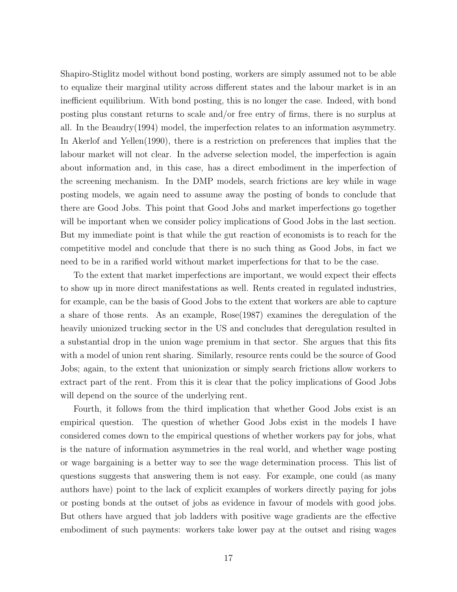Shapiro-Stiglitz model without bond posting, workers are simply assumed not to be able to equalize their marginal utility across different states and the labour market is in an inefficient equilibrium. With bond posting, this is no longer the case. Indeed, with bond posting plus constant returns to scale and/or free entry of firms, there is no surplus at all. In the Beaudry(1994) model, the imperfection relates to an information asymmetry. In Akerlof and Yellen(1990), there is a restriction on preferences that implies that the labour market will not clear. In the adverse selection model, the imperfection is again about information and, in this case, has a direct embodiment in the imperfection of the screening mechanism. In the DMP models, search frictions are key while in wage posting models, we again need to assume away the posting of bonds to conclude that there are Good Jobs. This point that Good Jobs and market imperfections go together will be important when we consider policy implications of Good Jobs in the last section. But my immediate point is that while the gut reaction of economists is to reach for the competitive model and conclude that there is no such thing as Good Jobs, in fact we need to be in a rarified world without market imperfections for that to be the case.

To the extent that market imperfections are important, we would expect their effects to show up in more direct manifestations as well. Rents created in regulated industries, for example, can be the basis of Good Jobs to the extent that workers are able to capture a share of those rents. As an example, Rose(1987) examines the deregulation of the heavily unionized trucking sector in the US and concludes that deregulation resulted in a substantial drop in the union wage premium in that sector. She argues that this fits with a model of union rent sharing. Similarly, resource rents could be the source of Good Jobs; again, to the extent that unionization or simply search frictions allow workers to extract part of the rent. From this it is clear that the policy implications of Good Jobs will depend on the source of the underlying rent.

Fourth, it follows from the third implication that whether Good Jobs exist is an empirical question. The question of whether Good Jobs exist in the models I have considered comes down to the empirical questions of whether workers pay for jobs, what is the nature of information asymmetries in the real world, and whether wage posting or wage bargaining is a better way to see the wage determination process. This list of questions suggests that answering them is not easy. For example, one could (as many authors have) point to the lack of explicit examples of workers directly paying for jobs or posting bonds at the outset of jobs as evidence in favour of models with good jobs. But others have argued that job ladders with positive wage gradients are the effective embodiment of such payments: workers take lower pay at the outset and rising wages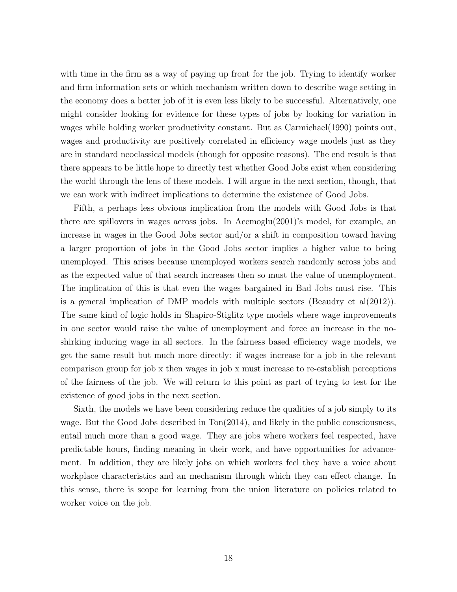with time in the firm as a way of paying up front for the job. Trying to identify worker and firm information sets or which mechanism written down to describe wage setting in the economy does a better job of it is even less likely to be successful. Alternatively, one might consider looking for evidence for these types of jobs by looking for variation in wages while holding worker productivity constant. But as Carmichael(1990) points out, wages and productivity are positively correlated in efficiency wage models just as they are in standard neoclassical models (though for opposite reasons). The end result is that there appears to be little hope to directly test whether Good Jobs exist when considering the world through the lens of these models. I will argue in the next section, though, that we can work with indirect implications to determine the existence of Good Jobs.

Fifth, a perhaps less obvious implication from the models with Good Jobs is that there are spillovers in wages across jobs. In Acemoglu(2001)'s model, for example, an increase in wages in the Good Jobs sector and/or a shift in composition toward having a larger proportion of jobs in the Good Jobs sector implies a higher value to being unemployed. This arises because unemployed workers search randomly across jobs and as the expected value of that search increases then so must the value of unemployment. The implication of this is that even the wages bargained in Bad Jobs must rise. This is a general implication of DMP models with multiple sectors (Beaudry et al $(2012)$ ). The same kind of logic holds in Shapiro-Stiglitz type models where wage improvements in one sector would raise the value of unemployment and force an increase in the noshirking inducing wage in all sectors. In the fairness based efficiency wage models, we get the same result but much more directly: if wages increase for a job in the relevant comparison group for job x then wages in job x must increase to re-establish perceptions of the fairness of the job. We will return to this point as part of trying to test for the existence of good jobs in the next section.

Sixth, the models we have been considering reduce the qualities of a job simply to its wage. But the Good Jobs described in Ton(2014), and likely in the public consciousness, entail much more than a good wage. They are jobs where workers feel respected, have predictable hours, finding meaning in their work, and have opportunities for advancement. In addition, they are likely jobs on which workers feel they have a voice about workplace characteristics and an mechanism through which they can effect change. In this sense, there is scope for learning from the union literature on policies related to worker voice on the job.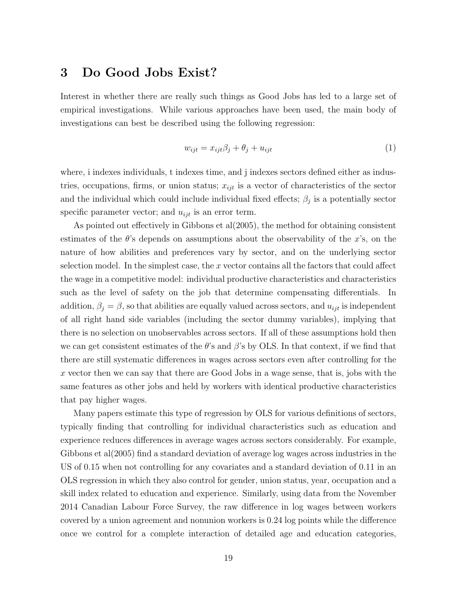# 3 Do Good Jobs Exist?

Interest in whether there are really such things as Good Jobs has led to a large set of empirical investigations. While various approaches have been used, the main body of investigations can best be described using the following regression:

$$
w_{ijt} = x_{ijt}\beta_j + \theta_j + u_{ijt}
$$
\n<sup>(1)</sup>

where, i indexes individuals, t indexes time, and j indexes sectors defined either as industries, occupations, firms, or union status;  $x_{ijt}$  is a vector of characteristics of the sector and the individual which could include individual fixed effects;  $\beta_j$  is a potentially sector specific parameter vector; and  $u_{ijt}$  is an error term.

As pointed out effectively in Gibbons et al(2005), the method for obtaining consistent estimates of the  $\theta$ 's depends on assumptions about the observability of the x's, on the nature of how abilities and preferences vary by sector, and on the underlying sector selection model. In the simplest case, the x vector contains all the factors that could affect the wage in a competitive model: individual productive characteristics and characteristics such as the level of safety on the job that determine compensating differentials. In addition,  $\beta_j = \beta$ , so that abilities are equally valued across sectors, and  $u_{ijt}$  is independent of all right hand side variables (including the sector dummy variables), implying that there is no selection on unobservables across sectors. If all of these assumptions hold then we can get consistent estimates of the  $\theta$ 's and  $\beta$ 's by OLS. In that context, if we find that there are still systematic differences in wages across sectors even after controlling for the x vector then we can say that there are Good Jobs in a wage sense, that is, jobs with the same features as other jobs and held by workers with identical productive characteristics that pay higher wages.

Many papers estimate this type of regression by OLS for various definitions of sectors, typically finding that controlling for individual characteristics such as education and experience reduces differences in average wages across sectors considerably. For example, Gibbons et al(2005) find a standard deviation of average log wages across industries in the US of 0.15 when not controlling for any covariates and a standard deviation of 0.11 in an OLS regression in which they also control for gender, union status, year, occupation and a skill index related to education and experience. Similarly, using data from the November 2014 Canadian Labour Force Survey, the raw difference in log wages between workers covered by a union agreement and nonunion workers is 0.24 log points while the difference once we control for a complete interaction of detailed age and education categories,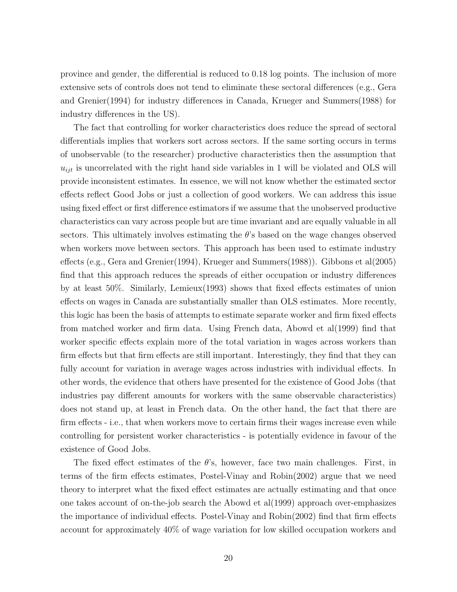province and gender, the differential is reduced to 0.18 log points. The inclusion of more extensive sets of controls does not tend to eliminate these sectoral differences (e.g., Gera and Grenier(1994) for industry differences in Canada, Krueger and Summers(1988) for industry differences in the US).

The fact that controlling for worker characteristics does reduce the spread of sectoral differentials implies that workers sort across sectors. If the same sorting occurs in terms of unobservable (to the researcher) productive characteristics then the assumption that  $u_{ijt}$  is uncorrelated with the right hand side variables in 1 will be violated and OLS will provide inconsistent estimates. In essence, we will not know whether the estimated sector effects reflect Good Jobs or just a collection of good workers. We can address this issue using fixed effect or first difference estimators if we assume that the unobserved productive characteristics can vary across people but are time invariant and are equally valuable in all sectors. This ultimately involves estimating the  $\theta$ 's based on the wage changes observed when workers move between sectors. This approach has been used to estimate industry effects (e.g., Gera and Grenier(1994), Krueger and Summers(1988)). Gibbons et al(2005) find that this approach reduces the spreads of either occupation or industry differences by at least 50%. Similarly, Lemieux(1993) shows that fixed effects estimates of union effects on wages in Canada are substantially smaller than OLS estimates. More recently, this logic has been the basis of attempts to estimate separate worker and firm fixed effects from matched worker and firm data. Using French data, Abowd et al $(1999)$  find that worker specific effects explain more of the total variation in wages across workers than firm effects but that firm effects are still important. Interestingly, they find that they can fully account for variation in average wages across industries with individual effects. In other words, the evidence that others have presented for the existence of Good Jobs (that industries pay different amounts for workers with the same observable characteristics) does not stand up, at least in French data. On the other hand, the fact that there are firm effects - i.e., that when workers move to certain firms their wages increase even while controlling for persistent worker characteristics - is potentially evidence in favour of the existence of Good Jobs.

The fixed effect estimates of the  $\theta$ 's, however, face two main challenges. First, in terms of the firm effects estimates, Postel-Vinay and Robin(2002) argue that we need theory to interpret what the fixed effect estimates are actually estimating and that once one takes account of on-the-job search the Abowd et al(1999) approach over-emphasizes the importance of individual effects. Postel-Vinay and Robin(2002) find that firm effects account for approximately 40% of wage variation for low skilled occupation workers and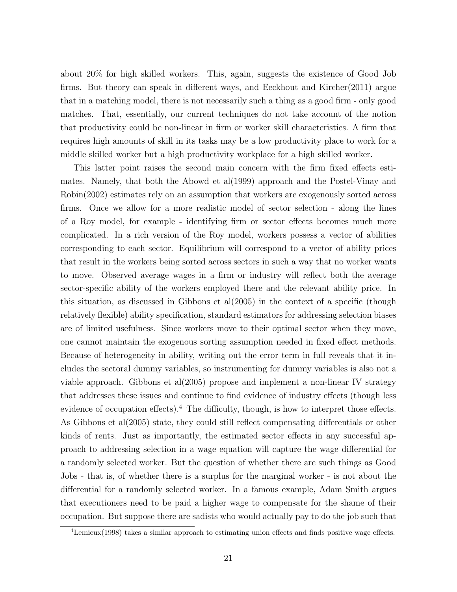about 20% for high skilled workers. This, again, suggests the existence of Good Job firms. But theory can speak in different ways, and Eeckhout and Kircher(2011) argue that in a matching model, there is not necessarily such a thing as a good firm - only good matches. That, essentially, our current techniques do not take account of the notion that productivity could be non-linear in firm or worker skill characteristics. A firm that requires high amounts of skill in its tasks may be a low productivity place to work for a middle skilled worker but a high productivity workplace for a high skilled worker.

This latter point raises the second main concern with the firm fixed effects estimates. Namely, that both the Abowd et al(1999) approach and the Postel-Vinay and Robin(2002) estimates rely on an assumption that workers are exogenously sorted across firms. Once we allow for a more realistic model of sector selection - along the lines of a Roy model, for example - identifying firm or sector effects becomes much more complicated. In a rich version of the Roy model, workers possess a vector of abilities corresponding to each sector. Equilibrium will correspond to a vector of ability prices that result in the workers being sorted across sectors in such a way that no worker wants to move. Observed average wages in a firm or industry will reflect both the average sector-specific ability of the workers employed there and the relevant ability price. In this situation, as discussed in Gibbons et al(2005) in the context of a specific (though relatively flexible) ability specification, standard estimators for addressing selection biases are of limited usefulness. Since workers move to their optimal sector when they move, one cannot maintain the exogenous sorting assumption needed in fixed effect methods. Because of heterogeneity in ability, writing out the error term in full reveals that it includes the sectoral dummy variables, so instrumenting for dummy variables is also not a viable approach. Gibbons et al(2005) propose and implement a non-linear IV strategy that addresses these issues and continue to find evidence of industry effects (though less evidence of occupation effects).<sup>4</sup> The difficulty, though, is how to interpret those effects. As Gibbons et al(2005) state, they could still reflect compensating differentials or other kinds of rents. Just as importantly, the estimated sector effects in any successful approach to addressing selection in a wage equation will capture the wage differential for a randomly selected worker. But the question of whether there are such things as Good Jobs - that is, of whether there is a surplus for the marginal worker - is not about the differential for a randomly selected worker. In a famous example, Adam Smith argues that executioners need to be paid a higher wage to compensate for the shame of their occupation. But suppose there are sadists who would actually pay to do the job such that

<sup>4</sup>Lemieux(1998) takes a similar approach to estimating union effects and finds positive wage effects.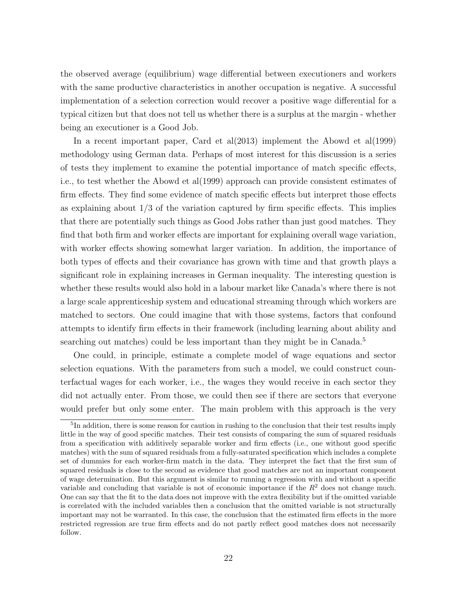the observed average (equilibrium) wage differential between executioners and workers with the same productive characteristics in another occupation is negative. A successful implementation of a selection correction would recover a positive wage differential for a typical citizen but that does not tell us whether there is a surplus at the margin - whether being an executioner is a Good Job.

In a recent important paper, Card et al( $2013$ ) implement the Abowd et al( $1999$ ) methodology using German data. Perhaps of most interest for this discussion is a series of tests they implement to examine the potential importance of match specific effects, i.e., to test whether the Abowd et al(1999) approach can provide consistent estimates of firm effects. They find some evidence of match specific effects but interpret those effects as explaining about 1/3 of the variation captured by firm specific effects. This implies that there are potentially such things as Good Jobs rather than just good matches. They find that both firm and worker effects are important for explaining overall wage variation, with worker effects showing somewhat larger variation. In addition, the importance of both types of effects and their covariance has grown with time and that growth plays a significant role in explaining increases in German inequality. The interesting question is whether these results would also hold in a labour market like Canada's where there is not a large scale apprenticeship system and educational streaming through which workers are matched to sectors. One could imagine that with those systems, factors that confound attempts to identify firm effects in their framework (including learning about ability and searching out matches) could be less important than they might be in Canada.<sup>5</sup>

One could, in principle, estimate a complete model of wage equations and sector selection equations. With the parameters from such a model, we could construct counterfactual wages for each worker, i.e., the wages they would receive in each sector they did not actually enter. From those, we could then see if there are sectors that everyone would prefer but only some enter. The main problem with this approach is the very

<sup>&</sup>lt;sup>5</sup>In addition, there is some reason for caution in rushing to the conclusion that their test results imply little in the way of good specific matches. Their test consists of comparing the sum of squared residuals from a specification with additively separable worker and firm effects (i.e., one without good specific matches) with the sum of squared residuals from a fully-saturated specification which includes a complete set of dummies for each worker-firm match in the data. They interpret the fact that the first sum of squared residuals is close to the second as evidence that good matches are not an important component of wage determination. But this argument is similar to running a regression with and without a specific variable and concluding that variable is not of economic importance if the  $R<sup>2</sup>$  does not change much. One can say that the fit to the data does not improve with the extra flexibility but if the omitted variable is correlated with the included variables then a conclusion that the omitted variable is not structurally important may not be warranted. In this case, the conclusion that the estimated firm effects in the more restricted regression are true firm effects and do not partly reflect good matches does not necessarily follow.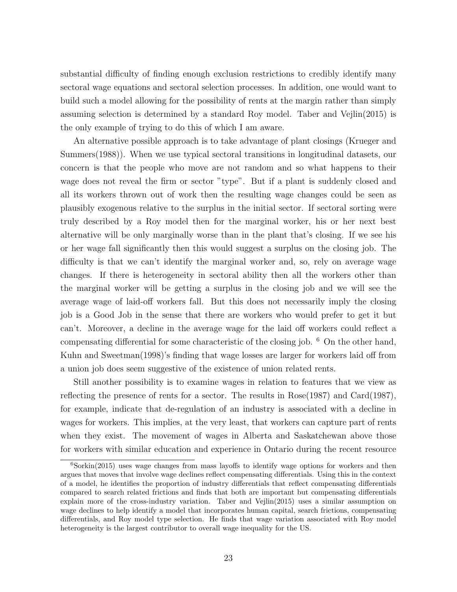substantial difficulty of finding enough exclusion restrictions to credibly identify many sectoral wage equations and sectoral selection processes. In addition, one would want to build such a model allowing for the possibility of rents at the margin rather than simply assuming selection is determined by a standard Roy model. Taber and Vejlin(2015) is the only example of trying to do this of which I am aware.

An alternative possible approach is to take advantage of plant closings (Krueger and Summers(1988)). When we use typical sectoral transitions in longitudinal datasets, our concern is that the people who move are not random and so what happens to their wage does not reveal the firm or sector "type". But if a plant is suddenly closed and all its workers thrown out of work then the resulting wage changes could be seen as plausibly exogenous relative to the surplus in the initial sector. If sectoral sorting were truly described by a Roy model then for the marginal worker, his or her next best alternative will be only marginally worse than in the plant that's closing. If we see his or her wage fall significantly then this would suggest a surplus on the closing job. The difficulty is that we can't identify the marginal worker and, so, rely on average wage changes. If there is heterogeneity in sectoral ability then all the workers other than the marginal worker will be getting a surplus in the closing job and we will see the average wage of laid-off workers fall. But this does not necessarily imply the closing job is a Good Job in the sense that there are workers who would prefer to get it but can't. Moreover, a decline in the average wage for the laid off workers could reflect a compensating differential for some characteristic of the closing job. <sup>6</sup> On the other hand, Kuhn and Sweetman(1998)'s finding that wage losses are larger for workers laid off from a union job does seem suggestive of the existence of union related rents.

Still another possibility is to examine wages in relation to features that we view as reflecting the presence of rents for a sector. The results in Rose(1987) and Card(1987), for example, indicate that de-regulation of an industry is associated with a decline in wages for workers. This implies, at the very least, that workers can capture part of rents when they exist. The movement of wages in Alberta and Saskatchewan above those for workers with similar education and experience in Ontario during the recent resource

 $6$ Sorkin(2015) uses wage changes from mass layoffs to identify wage options for workers and then argues that moves that involve wage declines reflect compensating differentials. Using this in the context of a model, he identifies the proportion of industry differentials that reflect compensating differentials compared to search related frictions and finds that both are important but compensating differentials explain more of the cross-industry variation. Taber and Vejlin(2015) uses a similar assumption on wage declines to help identify a model that incorporates human capital, search frictions, compensating differentials, and Roy model type selection. He finds that wage variation associated with Roy model heterogeneity is the largest contributor to overall wage inequality for the US.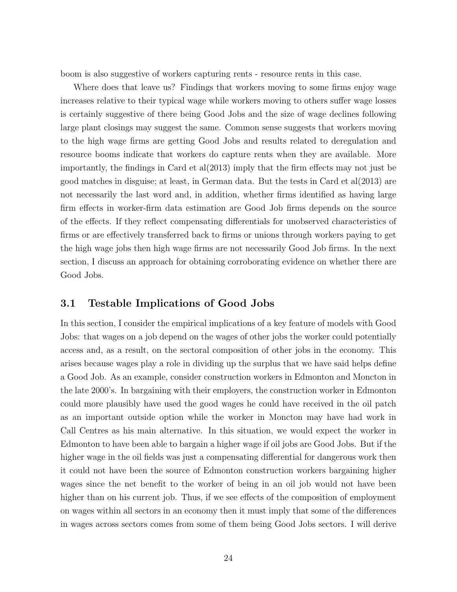boom is also suggestive of workers capturing rents - resource rents in this case.

Where does that leave us? Findings that workers moving to some firms enjoy wage increases relative to their typical wage while workers moving to others suffer wage losses is certainly suggestive of there being Good Jobs and the size of wage declines following large plant closings may suggest the same. Common sense suggests that workers moving to the high wage firms are getting Good Jobs and results related to deregulation and resource booms indicate that workers do capture rents when they are available. More importantly, the findings in Card et al(2013) imply that the firm effects may not just be good matches in disguise; at least, in German data. But the tests in Card et al $(2013)$  are not necessarily the last word and, in addition, whether firms identified as having large firm effects in worker-firm data estimation are Good Job firms depends on the source of the effects. If they reflect compensating differentials for unobserved characteristics of firms or are effectively transferred back to firms or unions through workers paying to get the high wage jobs then high wage firms are not necessarily Good Job firms. In the next section, I discuss an approach for obtaining corroborating evidence on whether there are Good Jobs.

### 3.1 Testable Implications of Good Jobs

In this section, I consider the empirical implications of a key feature of models with Good Jobs: that wages on a job depend on the wages of other jobs the worker could potentially access and, as a result, on the sectoral composition of other jobs in the economy. This arises because wages play a role in dividing up the surplus that we have said helps define a Good Job. As an example, consider construction workers in Edmonton and Moncton in the late 2000's. In bargaining with their employers, the construction worker in Edmonton could more plausibly have used the good wages he could have received in the oil patch as an important outside option while the worker in Moncton may have had work in Call Centres as his main alternative. In this situation, we would expect the worker in Edmonton to have been able to bargain a higher wage if oil jobs are Good Jobs. But if the higher wage in the oil fields was just a compensating differential for dangerous work then it could not have been the source of Edmonton construction workers bargaining higher wages since the net benefit to the worker of being in an oil job would not have been higher than on his current job. Thus, if we see effects of the composition of employment on wages within all sectors in an economy then it must imply that some of the differences in wages across sectors comes from some of them being Good Jobs sectors. I will derive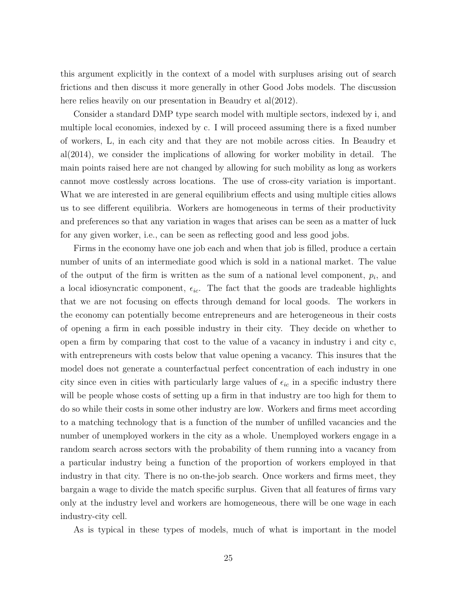this argument explicitly in the context of a model with surpluses arising out of search frictions and then discuss it more generally in other Good Jobs models. The discussion here relies heavily on our presentation in Beaudry et al(2012).

Consider a standard DMP type search model with multiple sectors, indexed by i, and multiple local economies, indexed by c. I will proceed assuming there is a fixed number of workers, L, in each city and that they are not mobile across cities. In Beaudry et al(2014), we consider the implications of allowing for worker mobility in detail. The main points raised here are not changed by allowing for such mobility as long as workers cannot move costlessly across locations. The use of cross-city variation is important. What we are interested in are general equilibrium effects and using multiple cities allows us to see different equilibria. Workers are homogeneous in terms of their productivity and preferences so that any variation in wages that arises can be seen as a matter of luck for any given worker, i.e., can be seen as reflecting good and less good jobs.

Firms in the economy have one job each and when that job is filled, produce a certain number of units of an intermediate good which is sold in a national market. The value of the output of the firm is written as the sum of a national level component,  $p_i$ , and a local idiosyncratic component,  $\epsilon_{ic}$ . The fact that the goods are tradeable highlights that we are not focusing on effects through demand for local goods. The workers in the economy can potentially become entrepreneurs and are heterogeneous in their costs of opening a firm in each possible industry in their city. They decide on whether to open a firm by comparing that cost to the value of a vacancy in industry i and city c, with entrepreneurs with costs below that value opening a vacancy. This insures that the model does not generate a counterfactual perfect concentration of each industry in one city since even in cities with particularly large values of  $\epsilon_{ic}$  in a specific industry there will be people whose costs of setting up a firm in that industry are too high for them to do so while their costs in some other industry are low. Workers and firms meet according to a matching technology that is a function of the number of unfilled vacancies and the number of unemployed workers in the city as a whole. Unemployed workers engage in a random search across sectors with the probability of them running into a vacancy from a particular industry being a function of the proportion of workers employed in that industry in that city. There is no on-the-job search. Once workers and firms meet, they bargain a wage to divide the match specific surplus. Given that all features of firms vary only at the industry level and workers are homogeneous, there will be one wage in each industry-city cell.

As is typical in these types of models, much of what is important in the model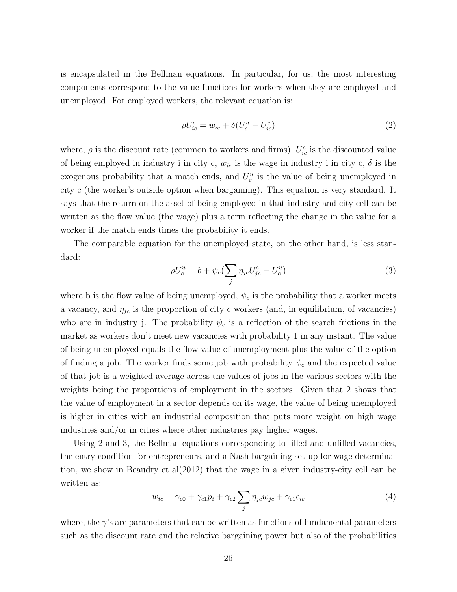is encapsulated in the Bellman equations. In particular, for us, the most interesting components correspond to the value functions for workers when they are employed and unemployed. For employed workers, the relevant equation is:

$$
\rho U_{ic}^e = w_{ic} + \delta (U_c^u - U_{ic}^e) \tag{2}
$$

where,  $\rho$  is the discount rate (common to workers and firms),  $U_{ic}^e$  is the discounted value of being employed in industry i in city c,  $w_{ic}$  is the wage in industry i in city c,  $\delta$  is the exogenous probability that a match ends, and  $U_c^u$  is the value of being unemployed in city c (the worker's outside option when bargaining). This equation is very standard. It says that the return on the asset of being employed in that industry and city cell can be written as the flow value (the wage) plus a term reflecting the change in the value for a worker if the match ends times the probability it ends.

The comparable equation for the unemployed state, on the other hand, is less standard:

$$
\rho U_c^u = b + \psi_c \left(\sum_j \eta_{jc} U_{jc}^e - U_c^u\right) \tag{3}
$$

where b is the flow value of being unemployed,  $\psi_c$  is the probability that a worker meets a vacancy, and  $\eta_{jc}$  is the proportion of city c workers (and, in equilibrium, of vacancies) who are in industry j. The probability  $\psi_c$  is a reflection of the search frictions in the market as workers don't meet new vacancies with probability 1 in any instant. The value of being unemployed equals the flow value of unemployment plus the value of the option of finding a job. The worker finds some job with probability  $\psi_c$  and the expected value of that job is a weighted average across the values of jobs in the various sectors with the weights being the proportions of employment in the sectors. Given that 2 shows that the value of employment in a sector depends on its wage, the value of being unemployed is higher in cities with an industrial composition that puts more weight on high wage industries and/or in cities where other industries pay higher wages.

Using 2 and 3, the Bellman equations corresponding to filled and unfilled vacancies, the entry condition for entrepreneurs, and a Nash bargaining set-up for wage determination, we show in Beaudry et  $al(2012)$  that the wage in a given industry-city cell can be written as:

$$
w_{ic} = \gamma_{c0} + \gamma_{c1}p_i + \gamma_{c2} \sum_j \eta_{jc} w_{jc} + \gamma_{c1} \epsilon_{ic}
$$
\n<sup>(4)</sup>

where, the  $\gamma$ 's are parameters that can be written as functions of fundamental parameters such as the discount rate and the relative bargaining power but also of the probabilities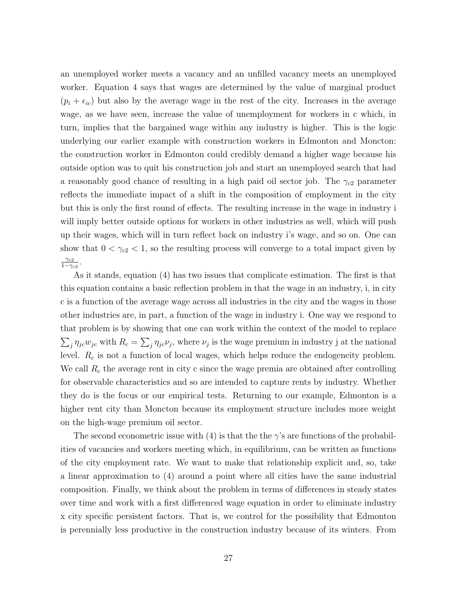an unemployed worker meets a vacancy and an unfilled vacancy meets an unemployed worker. Equation 4 says that wages are determined by the value of marginal product  $(p_i + \epsilon_{ic})$  but also by the average wage in the rest of the city. Increases in the average wage, as we have seen, increase the value of unemployment for workers in c which, in turn, implies that the bargained wage within any industry is higher. This is the logic underlying our earlier example with construction workers in Edmonton and Moncton: the construction worker in Edmonton could credibly demand a higher wage because his outside option was to quit his construction job and start an unemployed search that had a reasonably good chance of resulting in a high paid oil sector job. The  $\gamma_{c2}$  parameter reflects the immediate impact of a shift in the composition of employment in the city but this is only the first round of effects. The resulting increase in the wage in industry i will imply better outside options for workers in other industries as well, which will push up their wages, which will in turn reflect back on industry i's wage, and so on. One can show that  $0 < \gamma_{c2} < 1$ , so the resulting process will converge to a total impact given by  $\gamma_{c2}$  $\frac{\gamma_{c2}}{1-\gamma_{c2}}.$ 

As it stands, equation (4) has two issues that complicate estimation. The first is that this equation contains a basic reflection problem in that the wage in an industry, i, in city c is a function of the average wage across all industries in the city and the wages in those other industries are, in part, a function of the wage in industry i. One way we respond to that problem is by showing that one can work within the context of the model to replace  $\sum_j \eta_{jc} w_{jc}$  with  $R_c = \sum_j \eta_{jc} \nu_j$ , where  $\nu_j$  is the wage premium in industry j at the national level.  $R_c$  is not a function of local wages, which helps reduce the endogeneity problem. We call  $R_c$  the average rent in city c since the wage premia are obtained after controlling for observable characteristics and so are intended to capture rents by industry. Whether they do is the focus or our empirical tests. Returning to our example, Edmonton is a higher rent city than Moncton because its employment structure includes more weight on the high-wage premium oil sector.

The second econometric issue with (4) is that the the  $\gamma$ 's are functions of the probabilities of vacancies and workers meeting which, in equilibrium, can be written as functions of the city employment rate. We want to make that relationship explicit and, so, take a linear approximation to (4) around a point where all cities have the same industrial composition. Finally, we think about the problem in terms of differences in steady states over time and work with a first differenced wage equation in order to eliminate industry x city specific persistent factors. That is, we control for the possibility that Edmonton is perennially less productive in the construction industry because of its winters. From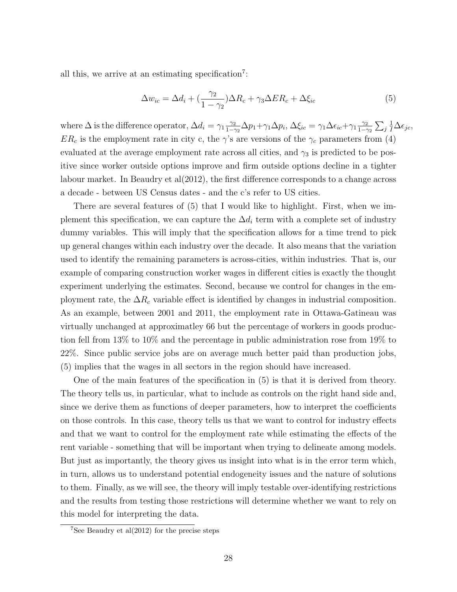all this, we arrive at an estimating specification<sup>7</sup>:

$$
\Delta w_{ic} = \Delta d_i + \left(\frac{\gamma_2}{1 - \gamma_2}\right) \Delta R_c + \gamma_3 \Delta E R_c + \Delta \xi_{ic}
$$
\n<sup>(5)</sup>

where  $\Delta$  is the difference operator,  $\Delta d_i = \gamma_1 \frac{\gamma_2}{1-\gamma_1}$  $\frac{\gamma_2}{1-\gamma_2}\Delta p_1 + \gamma_1 \Delta p_i$ ,  $\Delta \xi_{ic} = \gamma_1 \Delta \epsilon_{ic} + \gamma_1 \frac{\gamma_2}{1-\gamma_2}$  $\frac{\gamma_2}{1-\gamma_2}\sum_j$  $\frac{1}{I}\Delta \epsilon_{jc}$  $ER_c$  is the employment rate in city c, the  $\gamma$ 's are versions of the  $\gamma_c$  parameters from (4) evaluated at the average employment rate across all cities, and  $\gamma_3$  is predicted to be positive since worker outside options improve and firm outside options decline in a tighter labour market. In Beaudry et al(2012), the first difference corresponds to a change across a decade - between US Census dates - and the c's refer to US cities.

There are several features of (5) that I would like to highlight. First, when we implement this specification, we can capture the  $\Delta d_i$  term with a complete set of industry dummy variables. This will imply that the specification allows for a time trend to pick up general changes within each industry over the decade. It also means that the variation used to identify the remaining parameters is across-cities, within industries. That is, our example of comparing construction worker wages in different cities is exactly the thought experiment underlying the estimates. Second, because we control for changes in the employment rate, the  $\Delta R_c$  variable effect is identified by changes in industrial composition. As an example, between 2001 and 2011, the employment rate in Ottawa-Gatineau was virtually unchanged at approximatley 66 but the percentage of workers in goods production fell from 13% to 10% and the percentage in public administration rose from 19% to 22%. Since public service jobs are on average much better paid than production jobs, (5) implies that the wages in all sectors in the region should have increased.

One of the main features of the specification in (5) is that it is derived from theory. The theory tells us, in particular, what to include as controls on the right hand side and, since we derive them as functions of deeper parameters, how to interpret the coefficients on those controls. In this case, theory tells us that we want to control for industry effects and that we want to control for the employment rate while estimating the effects of the rent variable - something that will be important when trying to delineate among models. But just as importantly, the theory gives us insight into what is in the error term which, in turn, allows us to understand potential endogeneity issues and the nature of solutions to them. Finally, as we will see, the theory will imply testable over-identifying restrictions and the results from testing those restrictions will determine whether we want to rely on this model for interpreting the data.

 $7$ See Beaudry et al $(2012)$  for the precise steps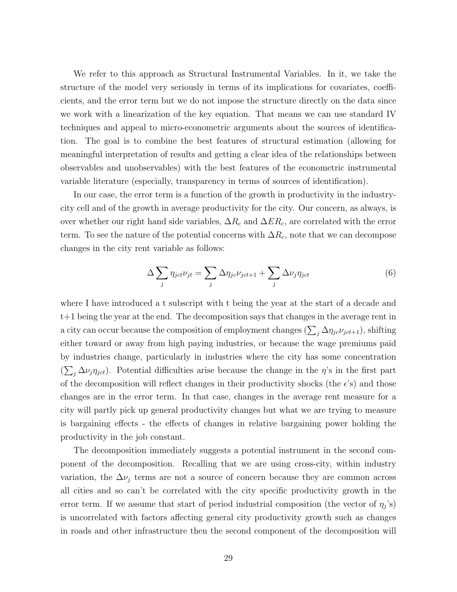We refer to this approach as Structural Instrumental Variables. In it, we take the structure of the model very seriously in terms of its implications for covariates, coefficients, and the error term but we do not impose the structure directly on the data since we work with a linearization of the key equation. That means we can use standard IV techniques and appeal to micro-econometric arguments about the sources of identification. The goal is to combine the best features of structural estimation (allowing for meaningful interpretation of results and getting a clear idea of the relationships between observables and unobservables) with the best features of the econometric instrumental variable literature (especially, transparency in terms of sources of identification).

In our case, the error term is a function of the growth in productivity in the industrycity cell and of the growth in average productivity for the city. Our concern, as always, is over whether our right hand side variables,  $\Delta R_c$  and  $\Delta ER_c$ , are correlated with the error term. To see the nature of the potential concerns with  $\Delta R_c$ , note that we can decompose changes in the city rent variable as follows:

$$
\Delta \sum_{j} \eta_{jct} \nu_{jt} = \sum_{j} \Delta \eta_{jc} \nu_{jct+1} + \sum_{j} \Delta \nu_{j} \eta_{jct} \tag{6}
$$

where I have introduced a t subscript with t being the year at the start of a decade and t+1 being the year at the end. The decomposition says that changes in the average rent in a city can occur because the composition of employment changes  $(\sum_j \Delta \eta_{jc} \nu_{jct+1}),$  shifting either toward or away from high paying industries, or because the wage premiums paid by industries change, particularly in industries where the city has some concentration  $(\sum_j \Delta \nu_j \eta_{jet})$ . Potential difficulties arise because the change in the  $\eta$ 's in the first part of the decomposition will reflect changes in their productivity shocks (the  $\epsilon$ 's) and those changes are in the error term. In that case, changes in the average rent measure for a city will partly pick up general productivity changes but what we are trying to measure is bargaining effects - the effects of changes in relative bargaining power holding the productivity in the job constant.

The decomposition immediately suggests a potential instrument in the second component of the decomposition. Recalling that we are using cross-city, within industry variation, the  $\Delta \nu_i$  terms are not a source of concern because they are common across all cities and so can't be correlated with the city specific productivity growth in the error term. If we assume that start of period industrial composition (the vector of  $\eta_j$ 's) is uncorrelated with factors affecting general city productivity growth such as changes in roads and other infrastructure then the second component of the decomposition will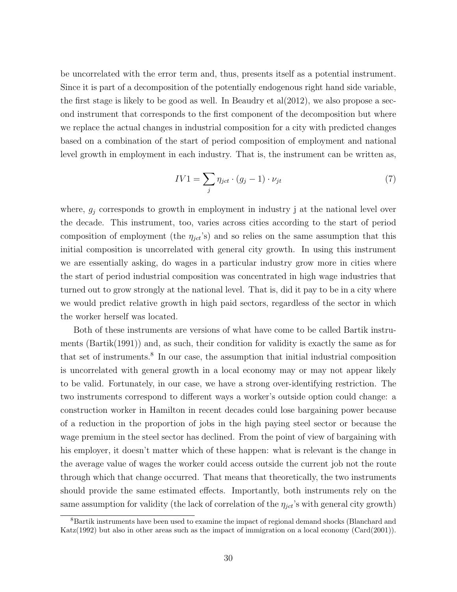be uncorrelated with the error term and, thus, presents itself as a potential instrument. Since it is part of a decomposition of the potentially endogenous right hand side variable, the first stage is likely to be good as well. In Beaudry et al(2012), we also propose a second instrument that corresponds to the first component of the decomposition but where we replace the actual changes in industrial composition for a city with predicted changes based on a combination of the start of period composition of employment and national level growth in employment in each industry. That is, the instrument can be written as,

$$
IV1 = \sum_{j} \eta_{jct} \cdot (g_j - 1) \cdot \nu_{jt} \tag{7}
$$

where,  $g_i$  corresponds to growth in employment in industry j at the national level over the decade. This instrument, too, varies across cities according to the start of period composition of employment (the  $\eta_{jet}$ 's) and so relies on the same assumption that this initial composition is uncorrelated with general city growth. In using this instrument we are essentially asking, do wages in a particular industry grow more in cities where the start of period industrial composition was concentrated in high wage industries that turned out to grow strongly at the national level. That is, did it pay to be in a city where we would predict relative growth in high paid sectors, regardless of the sector in which the worker herself was located.

Both of these instruments are versions of what have come to be called Bartik instruments (Bartik(1991)) and, as such, their condition for validity is exactly the same as for that set of instruments.<sup>8</sup> In our case, the assumption that initial industrial composition is uncorrelated with general growth in a local economy may or may not appear likely to be valid. Fortunately, in our case, we have a strong over-identifying restriction. The two instruments correspond to different ways a worker's outside option could change: a construction worker in Hamilton in recent decades could lose bargaining power because of a reduction in the proportion of jobs in the high paying steel sector or because the wage premium in the steel sector has declined. From the point of view of bargaining with his employer, it doesn't matter which of these happen: what is relevant is the change in the average value of wages the worker could access outside the current job not the route through which that change occurred. That means that theoretically, the two instruments should provide the same estimated effects. Importantly, both instruments rely on the same assumption for validity (the lack of correlation of the  $\eta_{jet}$ 's with general city growth)

<sup>&</sup>lt;sup>8</sup>Bartik instruments have been used to examine the impact of regional demand shocks (Blanchard and Katz(1992) but also in other areas such as the impact of immigration on a local economy (Card(2001)).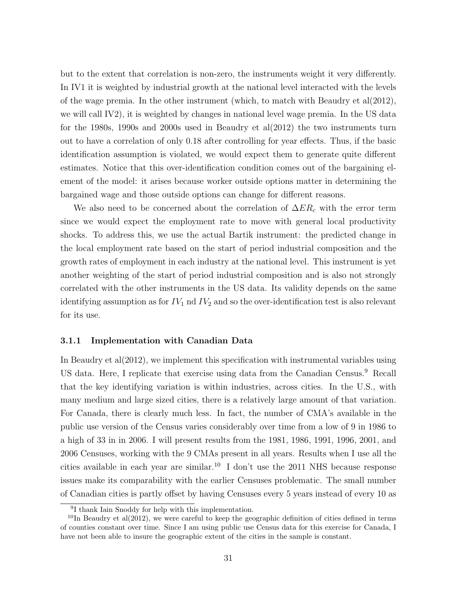but to the extent that correlation is non-zero, the instruments weight it very differently. In IV1 it is weighted by industrial growth at the national level interacted with the levels of the wage premia. In the other instrument (which, to match with Beaudry et al(2012), we will call IV2), it is weighted by changes in national level wage premia. In the US data for the 1980s, 1990s and 2000s used in Beaudry et al(2012) the two instruments turn out to have a correlation of only 0.18 after controlling for year effects. Thus, if the basic identification assumption is violated, we would expect them to generate quite different estimates. Notice that this over-identification condition comes out of the bargaining element of the model: it arises because worker outside options matter in determining the bargained wage and those outside options can change for different reasons.

We also need to be concerned about the correlation of  $\Delta ER_c$  with the error term since we would expect the employment rate to move with general local productivity shocks. To address this, we use the actual Bartik instrument: the predicted change in the local employment rate based on the start of period industrial composition and the growth rates of employment in each industry at the national level. This instrument is yet another weighting of the start of period industrial composition and is also not strongly correlated with the other instruments in the US data. Its validity depends on the same identifying assumption as for  $IV_1$  nd  $IV_2$  and so the over-identification test is also relevant for its use.

#### 3.1.1 Implementation with Canadian Data

In Beaudry et al(2012), we implement this specification with instrumental variables using US data. Here, I replicate that exercise using data from the Canadian Census.<sup>9</sup> Recall that the key identifying variation is within industries, across cities. In the U.S., with many medium and large sized cities, there is a relatively large amount of that variation. For Canada, there is clearly much less. In fact, the number of CMA's available in the public use version of the Census varies considerably over time from a low of 9 in 1986 to a high of 33 in in 2006. I will present results from the 1981, 1986, 1991, 1996, 2001, and 2006 Censuses, working with the 9 CMAs present in all years. Results when I use all the cities available in each year are similar.<sup>10</sup> I don't use the 2011 NHS because response issues make its comparability with the earlier Censuses problematic. The small number of Canadian cities is partly offset by having Censuses every 5 years instead of every 10 as

<sup>9</sup> I thank Iain Snoddy for help with this implementation.

<sup>&</sup>lt;sup>10</sup>In Beaudry et al(2012), we were careful to keep the geographic definition of cities defined in terms of counties constant over time. Since I am using public use Census data for this exercise for Canada, I have not been able to insure the geographic extent of the cities in the sample is constant.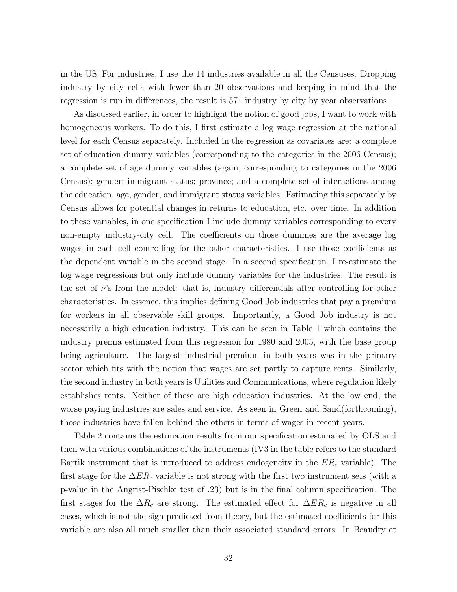in the US. For industries, I use the 14 industries available in all the Censuses. Dropping industry by city cells with fewer than 20 observations and keeping in mind that the regression is run in differences, the result is 571 industry by city by year observations.

As discussed earlier, in order to highlight the notion of good jobs, I want to work with homogeneous workers. To do this, I first estimate a log wage regression at the national level for each Census separately. Included in the regression as covariates are: a complete set of education dummy variables (corresponding to the categories in the 2006 Census); a complete set of age dummy variables (again, corresponding to categories in the 2006 Census); gender; immigrant status; province; and a complete set of interactions among the education, age, gender, and immigrant status variables. Estimating this separately by Census allows for potential changes in returns to education, etc. over time. In addition to these variables, in one specification I include dummy variables corresponding to every non-empty industry-city cell. The coefficients on those dummies are the average log wages in each cell controlling for the other characteristics. I use those coefficients as the dependent variable in the second stage. In a second specification, I re-estimate the log wage regressions but only include dummy variables for the industries. The result is the set of  $\nu$ 's from the model: that is, industry differentials after controlling for other characteristics. In essence, this implies defining Good Job industries that pay a premium for workers in all observable skill groups. Importantly, a Good Job industry is not necessarily a high education industry. This can be seen in Table 1 which contains the industry premia estimated from this regression for 1980 and 2005, with the base group being agriculture. The largest industrial premium in both years was in the primary sector which fits with the notion that wages are set partly to capture rents. Similarly, the second industry in both years is Utilities and Communications, where regulation likely establishes rents. Neither of these are high education industries. At the low end, the worse paying industries are sales and service. As seen in Green and Sand(forthcoming), those industries have fallen behind the others in terms of wages in recent years.

Table 2 contains the estimation results from our specification estimated by OLS and then with various combinations of the instruments (IV3 in the table refers to the standard Bartik instrument that is introduced to address endogeneity in the  $ER<sub>c</sub>$  variable). The first stage for the  $\Delta ER_c$  variable is not strong with the first two instrument sets (with a p-value in the Angrist-Pischke test of .23) but is in the final column specification. The first stages for the  $\Delta R_c$  are strong. The estimated effect for  $\Delta ER_c$  is negative in all cases, which is not the sign predicted from theory, but the estimated coefficients for this variable are also all much smaller than their associated standard errors. In Beaudry et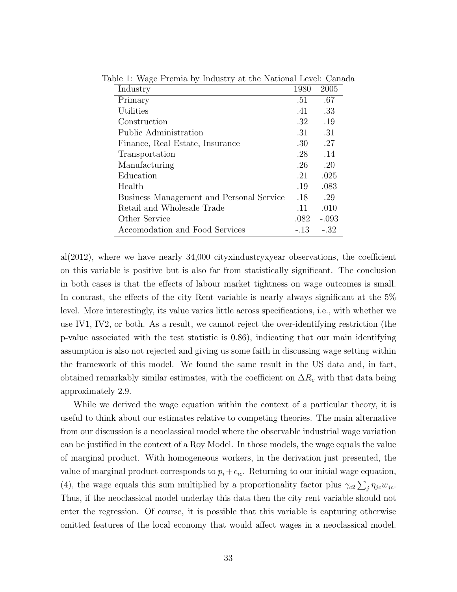| Industry                                 | 1980  | 2005    |
|------------------------------------------|-------|---------|
| Primary                                  | .51   | .67     |
| Utilities                                | .41   | .33     |
| Construction                             | .32   | .19     |
| Public Administration                    | .31   | .31     |
| Finance, Real Estate, Insurance          | .30   | .27     |
| Transportation                           | .28   | .14     |
| Manufacturing                            | .26   | .20     |
| Education                                | .21   | .025    |
| Health                                   | .19   | .083    |
| Business Management and Personal Service | .18   | -29     |
| Retail and Wholesale Trade               | .11   | .010    |
| Other Service                            | .082  | $-.093$ |
| Accomodation and Food Services           | $-13$ | $-.32$  |

Table 1: Wage Premia by Industry at the National Level: Canada

al(2012), where we have nearly 34,000 cityxindustryxyear observations, the coefficient on this variable is positive but is also far from statistically significant. The conclusion in both cases is that the effects of labour market tightness on wage outcomes is small. In contrast, the effects of the city Rent variable is nearly always significant at the 5% level. More interestingly, its value varies little across specifications, i.e., with whether we use IV1, IV2, or both. As a result, we cannot reject the over-identifying restriction (the p-value associated with the test statistic is 0.86), indicating that our main identifying assumption is also not rejected and giving us some faith in discussing wage setting within the framework of this model. We found the same result in the US data and, in fact, obtained remarkably similar estimates, with the coefficient on  $\Delta R_c$  with that data being approximately 2.9.

While we derived the wage equation within the context of a particular theory, it is useful to think about our estimates relative to competing theories. The main alternative from our discussion is a neoclassical model where the observable industrial wage variation can be justified in the context of a Roy Model. In those models, the wage equals the value of marginal product. With homogeneous workers, in the derivation just presented, the value of marginal product corresponds to  $p_i + \epsilon_{ic}$ . Returning to our initial wage equation, (4), the wage equals this sum multiplied by a proportionality factor plus  $\gamma_{c2} \sum_j \eta_{jc} w_{jc}$ . Thus, if the neoclassical model underlay this data then the city rent variable should not enter the regression. Of course, it is possible that this variable is capturing otherwise omitted features of the local economy that would affect wages in a neoclassical model.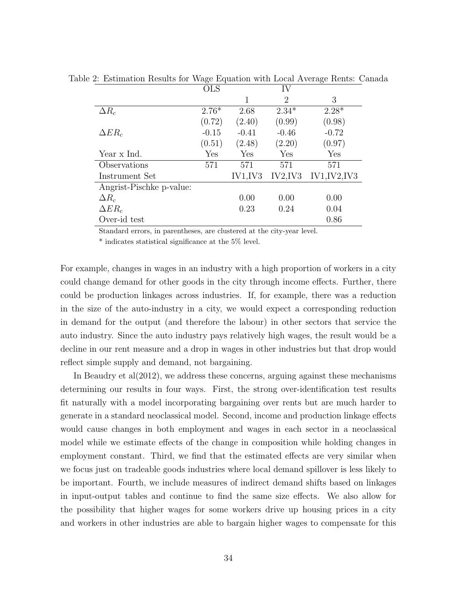|                          | <b>OLS</b> |          | IV       |               |
|--------------------------|------------|----------|----------|---------------|
|                          |            | 1        | 2        | 3             |
| $\Delta R_c$             | $2.76*$    | 2.68     | $2.34*$  | $2.28*$       |
|                          | (0.72)     | (2.40)   | (0.99)   | (0.98)        |
| $\Delta ER_c$            | $-0.15$    | $-0.41$  | $-0.46$  | $-0.72$       |
|                          | (0.51)     | (2.48)   | (2.20)   | (0.97)        |
| Year x Ind.              | Yes        | Yes      | Yes      | Yes           |
| Observations             | 571        | 571      | 571      | 571           |
| Instrument Set           |            | IV1, IV3 | IV2, IV3 | IV1, IV2, IV3 |
| Angrist-Pischke p-value: |            |          |          |               |
| $\Delta R_c$             |            | 0.00     | 0.00     | 0.00          |
| $\Delta ER_c$            |            | 0.23     | 0.24     | 0.04          |
| Over-id test             |            |          |          | 0.86          |

Table 2: Estimation Results for Wage Equation with Local Average Rents: Canada

Standard errors, in parentheses, are clustered at the city-year level.

\* indicates statistical significance at the 5% level.

For example, changes in wages in an industry with a high proportion of workers in a city could change demand for other goods in the city through income effects. Further, there could be production linkages across industries. If, for example, there was a reduction in the size of the auto-industry in a city, we would expect a corresponding reduction in demand for the output (and therefore the labour) in other sectors that service the auto industry. Since the auto industry pays relatively high wages, the result would be a decline in our rent measure and a drop in wages in other industries but that drop would reflect simple supply and demand, not bargaining.

In Beaudry et al $(2012)$ , we address these concerns, arguing against these mechanisms determining our results in four ways. First, the strong over-identification test results fit naturally with a model incorporating bargaining over rents but are much harder to generate in a standard neoclassical model. Second, income and production linkage effects would cause changes in both employment and wages in each sector in a neoclassical model while we estimate effects of the change in composition while holding changes in employment constant. Third, we find that the estimated effects are very similar when we focus just on tradeable goods industries where local demand spillover is less likely to be important. Fourth, we include measures of indirect demand shifts based on linkages in input-output tables and continue to find the same size effects. We also allow for the possibility that higher wages for some workers drive up housing prices in a city and workers in other industries are able to bargain higher wages to compensate for this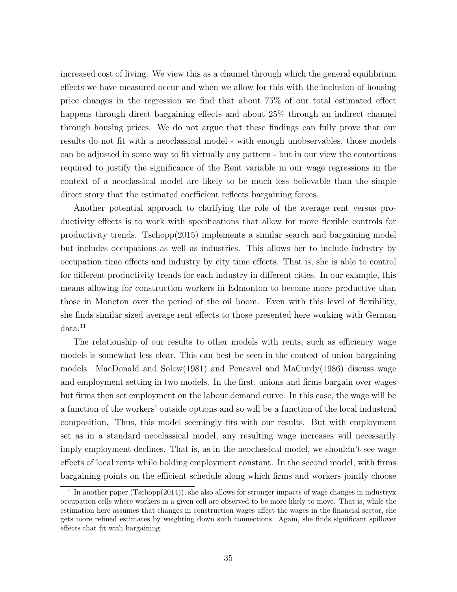increased cost of living. We view this as a channel through which the general equilibrium effects we have measured occur and when we allow for this with the inclusion of housing price changes in the regression we find that about 75% of our total estimated effect happens through direct bargaining effects and about 25% through an indirect channel through housing prices. We do not argue that these findings can fully prove that our results do not fit with a neoclassical model - with enough unobservables, those models can be adjusted in some way to fit virtually any pattern - but in our view the contortions required to justify the significance of the Rent variable in our wage regressions in the context of a neoclassical model are likely to be much less believable than the simple direct story that the estimated coefficient reflects bargaining forces.

Another potential approach to clarifying the role of the average rent versus productivity effects is to work with specifications that allow for more flexible controls for productivity trends. Tschopp(2015) implements a similar search and bargaining model but includes occupations as well as industries. This allows her to include industry by occupation time effects and industry by city time effects. That is, she is able to control for different productivity trends for each industry in different cities. In our example, this means allowing for construction workers in Edmonton to become more productive than those in Moncton over the period of the oil boom. Even with this level of flexibility, she finds similar sized average rent effects to those presented here working with German data.<sup>11</sup>

The relationship of our results to other models with rents, such as efficiency wage models is somewhat less clear. This can best be seen in the context of union bargaining models. MacDonald and Solow(1981) and Pencavel and MaCurdy(1986) discuss wage and employment setting in two models. In the first, unions and firms bargain over wages but firms then set employment on the labour demand curve. In this case, the wage will be a function of the workers' outside options and so will be a function of the local industrial composition. Thus, this model seemingly fits with our results. But with employment set as in a standard neoclassical model, any resulting wage increases will necessarily imply employment declines. That is, as in the neoclassical model, we shouldn't see wage effects of local rents while holding employment constant. In the second model, with firms bargaining points on the efficient schedule along which firms and workers jointly choose

<sup>&</sup>lt;sup>11</sup>In another paper (Tschopp(2014)), she also allows for stronger impacts of wage changes in industryx occupation cells where workers in a given cell are observed to be more likely to move. That is, while the estimation here assumes that changes in construction wages affect the wages in the financial sector, she gets more refined estimates by weighting down such connections. Again, she finds significant spillover effects that fit with bargaining.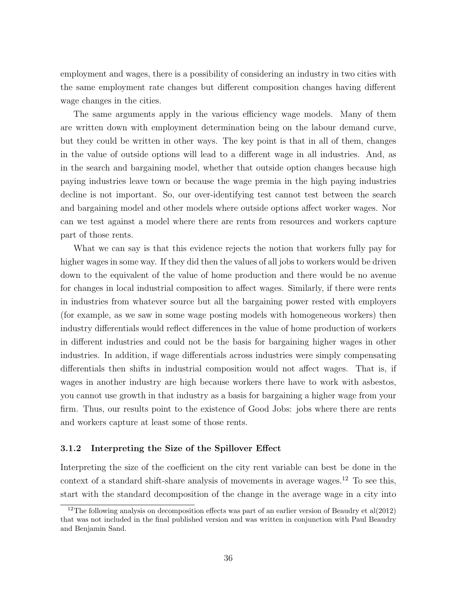employment and wages, there is a possibility of considering an industry in two cities with the same employment rate changes but different composition changes having different wage changes in the cities.

The same arguments apply in the various efficiency wage models. Many of them are written down with employment determination being on the labour demand curve, but they could be written in other ways. The key point is that in all of them, changes in the value of outside options will lead to a different wage in all industries. And, as in the search and bargaining model, whether that outside option changes because high paying industries leave town or because the wage premia in the high paying industries decline is not important. So, our over-identifying test cannot test between the search and bargaining model and other models where outside options affect worker wages. Nor can we test against a model where there are rents from resources and workers capture part of those rents.

What we can say is that this evidence rejects the notion that workers fully pay for higher wages in some way. If they did then the values of all jobs to workers would be driven down to the equivalent of the value of home production and there would be no avenue for changes in local industrial composition to affect wages. Similarly, if there were rents in industries from whatever source but all the bargaining power rested with employers (for example, as we saw in some wage posting models with homogeneous workers) then industry differentials would reflect differences in the value of home production of workers in different industries and could not be the basis for bargaining higher wages in other industries. In addition, if wage differentials across industries were simply compensating differentials then shifts in industrial composition would not affect wages. That is, if wages in another industry are high because workers there have to work with asbestos, you cannot use growth in that industry as a basis for bargaining a higher wage from your firm. Thus, our results point to the existence of Good Jobs: jobs where there are rents and workers capture at least some of those rents.

#### 3.1.2 Interpreting the Size of the Spillover Effect

Interpreting the size of the coefficient on the city rent variable can best be done in the context of a standard shift-share analysis of movements in average wages.<sup>12</sup> To see this, start with the standard decomposition of the change in the average wage in a city into

<sup>&</sup>lt;sup>12</sup>The following analysis on decomposition effects was part of an earlier version of Beaudry et al(2012) that was not included in the final published version and was written in conjunction with Paul Beaudry and Benjamin Sand.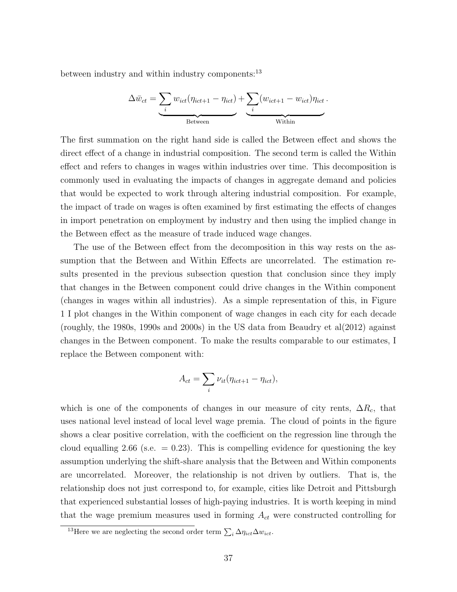between industry and within industry components:<sup>13</sup>

$$
\Delta \bar{w}_{ct} = \underbrace{\sum_{i} w_{ict} (\eta_{ict+1} - \eta_{ict})}_{\text{Between}} + \underbrace{\sum_{i} (w_{ict+1} - w_{ict}) \eta_{ict}}_{\text{Within}}.
$$

The first summation on the right hand side is called the Between effect and shows the direct effect of a change in industrial composition. The second term is called the Within effect and refers to changes in wages within industries over time. This decomposition is commonly used in evaluating the impacts of changes in aggregate demand and policies that would be expected to work through altering industrial composition. For example, the impact of trade on wages is often examined by first estimating the effects of changes in import penetration on employment by industry and then using the implied change in the Between effect as the measure of trade induced wage changes.

The use of the Between effect from the decomposition in this way rests on the assumption that the Between and Within Effects are uncorrelated. The estimation results presented in the previous subsection question that conclusion since they imply that changes in the Between component could drive changes in the Within component (changes in wages within all industries). As a simple representation of this, in Figure 1 I plot changes in the Within component of wage changes in each city for each decade (roughly, the 1980s, 1990s and 2000s) in the US data from Beaudry et al(2012) against changes in the Between component. To make the results comparable to our estimates, I replace the Between component with:

$$
A_{ct} = \sum_{i} \nu_{it} (\eta_{ict+1} - \eta_{ict}),
$$

which is one of the components of changes in our measure of city rents,  $\Delta R_c$ , that uses national level instead of local level wage premia. The cloud of points in the figure shows a clear positive correlation, with the coefficient on the regression line through the cloud equalling 2.66 (s.e.  $= 0.23$ ). This is compelling evidence for questioning the key assumption underlying the shift-share analysis that the Between and Within components are uncorrelated. Moreover, the relationship is not driven by outliers. That is, the relationship does not just correspond to, for example, cities like Detroit and Pittsburgh that experienced substantial losses of high-paying industries. It is worth keeping in mind that the wage premium measures used in forming  $A_{ct}$  were constructed controlling for

<sup>&</sup>lt;sup>13</sup>Here we are neglecting the second order term  $\sum_i \Delta \eta_{ict} \Delta w_{ict}$ .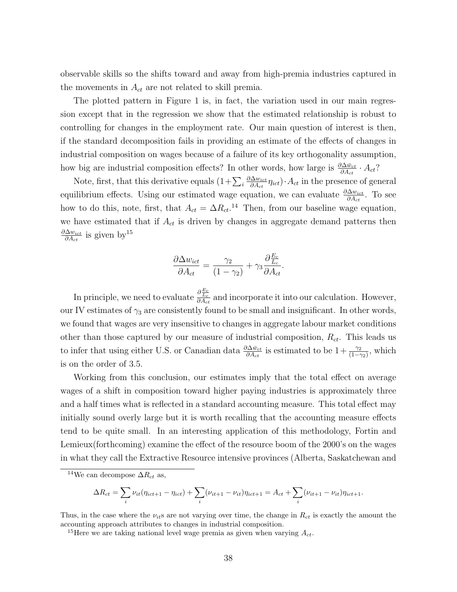observable skills so the shifts toward and away from high-premia industries captured in the movements in  $A_{ct}$  are not related to skill premia.

The plotted pattern in Figure 1 is, in fact, the variation used in our main regression except that in the regression we show that the estimated relationship is robust to controlling for changes in the employment rate. Our main question of interest is then, if the standard decomposition fails in providing an estimate of the effects of changes in industrial composition on wages because of a failure of its key orthogonality assumption, how big are industrial composition effects? In other words, how large is  $\frac{\partial \Delta \bar{w}_{ct}}{\partial A_{ct}} \cdot A_{ct}$ ?

Note, first, that this derivative equals  $(1+\sum_i \frac{\partial \Delta w_{ict}}{\partial A_{ct}})$  $\frac{\Delta w_{ict}}{\partial A_{ct}} \eta_{ict}$ )· $A_{ct}$  in the presence of general equilibrium effects. Using our estimated wage equation, we can evaluate  $\frac{\partial \Delta w_{ict}}{\partial A_{ct}}$ . To see how to do this, note, first, that  $A_{ct} = \Delta R_{ct}$ .<sup>14</sup> Then, from our baseline wage equation, we have estimated that if  $A_{ct}$  is driven by changes in aggregate demand patterns then  $\partial \Delta w_{ict}$  $\frac{\Delta w_{ict}}{\partial A_{ct}}$  is given by<sup>15</sup>

$$
\frac{\partial \Delta w_{ict}}{\partial A_{ct}} = \frac{\gamma_2}{(1 - \gamma_2)} + \gamma_3 \frac{\partial \frac{E_c}{L_c}}{\partial A_{ct}}.
$$

In principle, we need to evaluate  $\frac{\partial \frac{E_c}{L_c}}{\partial A_{ct}}$  and incorporate it into our calculation. However, our IV estimates of  $\gamma_3$  are consistently found to be small and insignificant. In other words, we found that wages are very insensitive to changes in aggregate labour market conditions other than those captured by our measure of industrial composition,  $R_{ct}$ . This leads us to infer that using either U.S. or Canadian data  $\frac{\partial \Delta \bar{w}_{ct}}{\partial A_{ct}}$  is estimated to be  $1+\frac{\gamma_2}{(1-\gamma_2)}$ , which is on the order of 3.5.

Working from this conclusion, our estimates imply that the total effect on average wages of a shift in composition toward higher paying industries is approximately three and a half times what is reflected in a standard accounting measure. This total effect may initially sound overly large but it is worth recalling that the accounting measure effects tend to be quite small. In an interesting application of this methodology, Fortin and Lemieux(forthcoming) examine the effect of the resource boom of the 2000's on the wages in what they call the Extractive Resource intensive provinces (Alberta, Saskatchewan and

$$
\Delta R_{ct} = \sum_{i} \nu_{it} (\eta_{ict+1} - \eta_{ict}) + \sum_{i} (\nu_{it+1} - \nu_{it}) \eta_{ict+1} = A_{ct} + \sum_{i} (\nu_{it+1} - \nu_{it}) \eta_{ict+1}.
$$

Thus, in the case where the  $\nu_{it}$ s are not varying over time, the change in  $R_{ct}$  is exactly the amount the accounting approach attributes to changes in industrial composition.

<sup>&</sup>lt;sup>14</sup>We can decompose  $\Delta R_{ct}$  as,

<sup>&</sup>lt;sup>15</sup>Here we are taking national level wage premia as given when varying  $A_{ct}$ .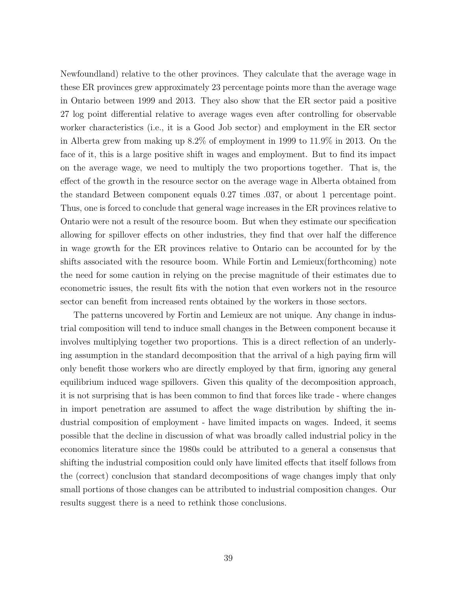Newfoundland) relative to the other provinces. They calculate that the average wage in these ER provinces grew approximately 23 percentage points more than the average wage in Ontario between 1999 and 2013. They also show that the ER sector paid a positive 27 log point differential relative to average wages even after controlling for observable worker characteristics (i.e., it is a Good Job sector) and employment in the ER sector in Alberta grew from making up 8.2% of employment in 1999 to 11.9% in 2013. On the face of it, this is a large positive shift in wages and employment. But to find its impact on the average wage, we need to multiply the two proportions together. That is, the effect of the growth in the resource sector on the average wage in Alberta obtained from the standard Between component equals 0.27 times .037, or about 1 percentage point. Thus, one is forced to conclude that general wage increases in the ER provinces relative to Ontario were not a result of the resource boom. But when they estimate our specification allowing for spillover effects on other industries, they find that over half the difference in wage growth for the ER provinces relative to Ontario can be accounted for by the shifts associated with the resource boom. While Fortin and Lemieux(forthcoming) note the need for some caution in relying on the precise magnitude of their estimates due to econometric issues, the result fits with the notion that even workers not in the resource sector can benefit from increased rents obtained by the workers in those sectors.

The patterns uncovered by Fortin and Lemieux are not unique. Any change in industrial composition will tend to induce small changes in the Between component because it involves multiplying together two proportions. This is a direct reflection of an underlying assumption in the standard decomposition that the arrival of a high paying firm will only benefit those workers who are directly employed by that firm, ignoring any general equilibrium induced wage spillovers. Given this quality of the decomposition approach, it is not surprising that is has been common to find that forces like trade - where changes in import penetration are assumed to affect the wage distribution by shifting the industrial composition of employment - have limited impacts on wages. Indeed, it seems possible that the decline in discussion of what was broadly called industrial policy in the economics literature since the 1980s could be attributed to a general a consensus that shifting the industrial composition could only have limited effects that itself follows from the (correct) conclusion that standard decompositions of wage changes imply that only small portions of those changes can be attributed to industrial composition changes. Our results suggest there is a need to rethink those conclusions.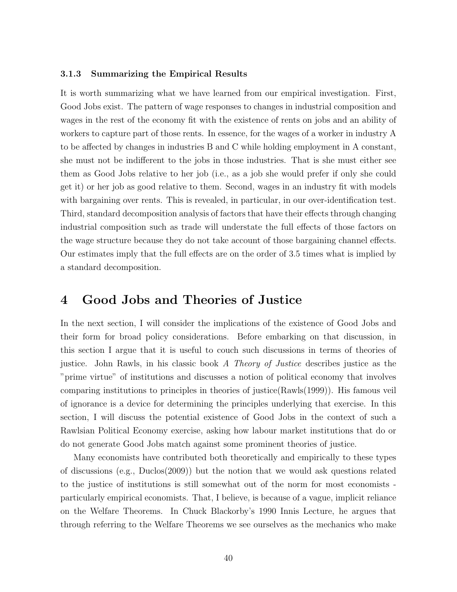#### 3.1.3 Summarizing the Empirical Results

It is worth summarizing what we have learned from our empirical investigation. First, Good Jobs exist. The pattern of wage responses to changes in industrial composition and wages in the rest of the economy fit with the existence of rents on jobs and an ability of workers to capture part of those rents. In essence, for the wages of a worker in industry A to be affected by changes in industries B and C while holding employment in A constant, she must not be indifferent to the jobs in those industries. That is she must either see them as Good Jobs relative to her job (i.e., as a job she would prefer if only she could get it) or her job as good relative to them. Second, wages in an industry fit with models with bargaining over rents. This is revealed, in particular, in our over-identification test. Third, standard decomposition analysis of factors that have their effects through changing industrial composition such as trade will understate the full effects of those factors on the wage structure because they do not take account of those bargaining channel effects. Our estimates imply that the full effects are on the order of 3.5 times what is implied by a standard decomposition.

# 4 Good Jobs and Theories of Justice

In the next section, I will consider the implications of the existence of Good Jobs and their form for broad policy considerations. Before embarking on that discussion, in this section I argue that it is useful to couch such discussions in terms of theories of justice. John Rawls, in his classic book A Theory of Justice describes justice as the "prime virtue" of institutions and discusses a notion of political economy that involves comparing institutions to principles in theories of justice(Rawls(1999)). His famous veil of ignorance is a device for determining the principles underlying that exercise. In this section, I will discuss the potential existence of Good Jobs in the context of such a Rawlsian Political Economy exercise, asking how labour market institutions that do or do not generate Good Jobs match against some prominent theories of justice.

Many economists have contributed both theoretically and empirically to these types of discussions (e.g., Duclos(2009)) but the notion that we would ask questions related to the justice of institutions is still somewhat out of the norm for most economists particularly empirical economists. That, I believe, is because of a vague, implicit reliance on the Welfare Theorems. In Chuck Blackorby's 1990 Innis Lecture, he argues that through referring to the Welfare Theorems we see ourselves as the mechanics who make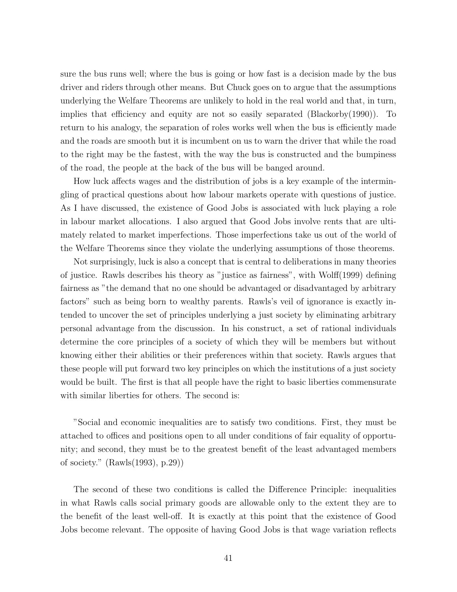sure the bus runs well; where the bus is going or how fast is a decision made by the bus driver and riders through other means. But Chuck goes on to argue that the assumptions underlying the Welfare Theorems are unlikely to hold in the real world and that, in turn, implies that efficiency and equity are not so easily separated (Blackorby(1990)). To return to his analogy, the separation of roles works well when the bus is efficiently made and the roads are smooth but it is incumbent on us to warn the driver that while the road to the right may be the fastest, with the way the bus is constructed and the bumpiness of the road, the people at the back of the bus will be banged around.

How luck affects wages and the distribution of jobs is a key example of the intermingling of practical questions about how labour markets operate with questions of justice. As I have discussed, the existence of Good Jobs is associated with luck playing a role in labour market allocations. I also argued that Good Jobs involve rents that are ultimately related to market imperfections. Those imperfections take us out of the world of the Welfare Theorems since they violate the underlying assumptions of those theorems.

Not surprisingly, luck is also a concept that is central to deliberations in many theories of justice. Rawls describes his theory as "justice as fairness", with Wolff(1999) defining fairness as "the demand that no one should be advantaged or disadvantaged by arbitrary factors" such as being born to wealthy parents. Rawls's veil of ignorance is exactly intended to uncover the set of principles underlying a just society by eliminating arbitrary personal advantage from the discussion. In his construct, a set of rational individuals determine the core principles of a society of which they will be members but without knowing either their abilities or their preferences within that society. Rawls argues that these people will put forward two key principles on which the institutions of a just society would be built. The first is that all people have the right to basic liberties commensurate with similar liberties for others. The second is:

"Social and economic inequalities are to satisfy two conditions. First, they must be attached to offices and positions open to all under conditions of fair equality of opportunity; and second, they must be to the greatest benefit of the least advantaged members of society." (Rawls(1993), p.29))

The second of these two conditions is called the Difference Principle: inequalities in what Rawls calls social primary goods are allowable only to the extent they are to the benefit of the least well-off. It is exactly at this point that the existence of Good Jobs become relevant. The opposite of having Good Jobs is that wage variation reflects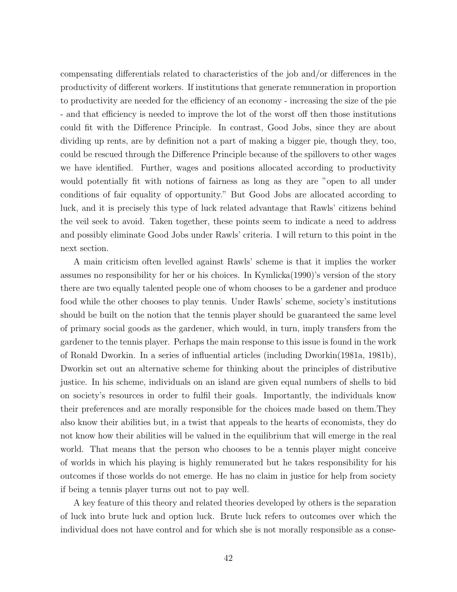compensating differentials related to characteristics of the job and/or differences in the productivity of different workers. If institutions that generate remuneration in proportion to productivity are needed for the efficiency of an economy - increasing the size of the pie - and that efficiency is needed to improve the lot of the worst off then those institutions could fit with the Difference Principle. In contrast, Good Jobs, since they are about dividing up rents, are by definition not a part of making a bigger pie, though they, too, could be rescued through the Difference Principle because of the spillovers to other wages we have identified. Further, wages and positions allocated according to productivity would potentially fit with notions of fairness as long as they are "open to all under conditions of fair equality of opportunity." But Good Jobs are allocated according to luck, and it is precisely this type of luck related advantage that Rawls' citizens behind the veil seek to avoid. Taken together, these points seem to indicate a need to address and possibly eliminate Good Jobs under Rawls' criteria. I will return to this point in the next section.

A main criticism often levelled against Rawls' scheme is that it implies the worker assumes no responsibility for her or his choices. In Kymlicka(1990)'s version of the story there are two equally talented people one of whom chooses to be a gardener and produce food while the other chooses to play tennis. Under Rawls' scheme, society's institutions should be built on the notion that the tennis player should be guaranteed the same level of primary social goods as the gardener, which would, in turn, imply transfers from the gardener to the tennis player. Perhaps the main response to this issue is found in the work of Ronald Dworkin. In a series of influential articles (including Dworkin(1981a, 1981b), Dworkin set out an alternative scheme for thinking about the principles of distributive justice. In his scheme, individuals on an island are given equal numbers of shells to bid on society's resources in order to fulfil their goals. Importantly, the individuals know their preferences and are morally responsible for the choices made based on them.They also know their abilities but, in a twist that appeals to the hearts of economists, they do not know how their abilities will be valued in the equilibrium that will emerge in the real world. That means that the person who chooses to be a tennis player might conceive of worlds in which his playing is highly remunerated but he takes responsibility for his outcomes if those worlds do not emerge. He has no claim in justice for help from society if being a tennis player turns out not to pay well.

A key feature of this theory and related theories developed by others is the separation of luck into brute luck and option luck. Brute luck refers to outcomes over which the individual does not have control and for which she is not morally responsible as a conse-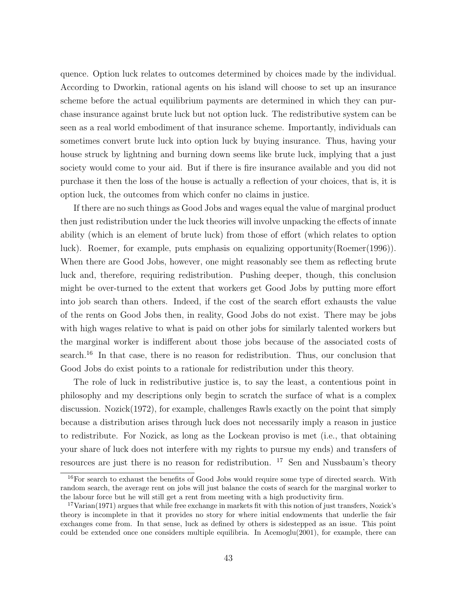quence. Option luck relates to outcomes determined by choices made by the individual. According to Dworkin, rational agents on his island will choose to set up an insurance scheme before the actual equilibrium payments are determined in which they can purchase insurance against brute luck but not option luck. The redistributive system can be seen as a real world embodiment of that insurance scheme. Importantly, individuals can sometimes convert brute luck into option luck by buying insurance. Thus, having your house struck by lightning and burning down seems like brute luck, implying that a just society would come to your aid. But if there is fire insurance available and you did not purchase it then the loss of the house is actually a reflection of your choices, that is, it is option luck, the outcomes from which confer no claims in justice.

If there are no such things as Good Jobs and wages equal the value of marginal product then just redistribution under the luck theories will involve unpacking the effects of innate ability (which is an element of brute luck) from those of effort (which relates to option luck). Roemer, for example, puts emphasis on equalizing opportunity(Roemer(1996)). When there are Good Jobs, however, one might reasonably see them as reflecting brute luck and, therefore, requiring redistribution. Pushing deeper, though, this conclusion might be over-turned to the extent that workers get Good Jobs by putting more effort into job search than others. Indeed, if the cost of the search effort exhausts the value of the rents on Good Jobs then, in reality, Good Jobs do not exist. There may be jobs with high wages relative to what is paid on other jobs for similarly talented workers but the marginal worker is indifferent about those jobs because of the associated costs of search.<sup>16</sup> In that case, there is no reason for redistribution. Thus, our conclusion that Good Jobs do exist points to a rationale for redistribution under this theory.

The role of luck in redistributive justice is, to say the least, a contentious point in philosophy and my descriptions only begin to scratch the surface of what is a complex discussion. Nozick(1972), for example, challenges Rawls exactly on the point that simply because a distribution arises through luck does not necessarily imply a reason in justice to redistribute. For Nozick, as long as the Lockean proviso is met (i.e., that obtaining your share of luck does not interfere with my rights to pursue my ends) and transfers of resources are just there is no reason for redistribution. <sup>17</sup> Sen and Nussbaum's theory

<sup>&</sup>lt;sup>16</sup>For search to exhaust the benefits of Good Jobs would require some type of directed search. With random search, the average rent on jobs will just balance the costs of search for the marginal worker to the labour force but he will still get a rent from meeting with a high productivity firm.

<sup>17</sup>Varian(1971) argues that while free exchange in markets fit with this notion of just transfers, Nozick's theory is incomplete in that it provides no story for where initial endowments that underlie the fair exchanges come from. In that sense, luck as defined by others is sidestepped as an issue. This point could be extended once one considers multiple equilibria. In Acemoglu $(2001)$ , for example, there can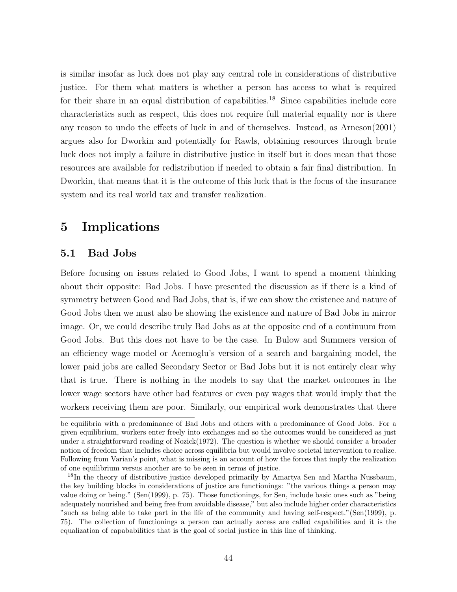is similar insofar as luck does not play any central role in considerations of distributive justice. For them what matters is whether a person has access to what is required for their share in an equal distribution of capabilities.<sup>18</sup> Since capabilities include core characteristics such as respect, this does not require full material equality nor is there any reason to undo the effects of luck in and of themselves. Instead, as Arneson(2001) argues also for Dworkin and potentially for Rawls, obtaining resources through brute luck does not imply a failure in distributive justice in itself but it does mean that those resources are available for redistribution if needed to obtain a fair final distribution. In Dworkin, that means that it is the outcome of this luck that is the focus of the insurance system and its real world tax and transfer realization.

# 5 Implications

### 5.1 Bad Jobs

Before focusing on issues related to Good Jobs, I want to spend a moment thinking about their opposite: Bad Jobs. I have presented the discussion as if there is a kind of symmetry between Good and Bad Jobs, that is, if we can show the existence and nature of Good Jobs then we must also be showing the existence and nature of Bad Jobs in mirror image. Or, we could describe truly Bad Jobs as at the opposite end of a continuum from Good Jobs. But this does not have to be the case. In Bulow and Summers version of an efficiency wage model or Acemoglu's version of a search and bargaining model, the lower paid jobs are called Secondary Sector or Bad Jobs but it is not entirely clear why that is true. There is nothing in the models to say that the market outcomes in the lower wage sectors have other bad features or even pay wages that would imply that the workers receiving them are poor. Similarly, our empirical work demonstrates that there

be equilibria with a predominance of Bad Jobs and others with a predominance of Good Jobs. For a given equilibrium, workers enter freely into exchanges and so the outcomes would be considered as just under a straightforward reading of Nozick(1972). The question is whether we should consider a broader notion of freedom that includes choice across equilibria but would involve societal intervention to realize. Following from Varian's point, what is missing is an account of how the forces that imply the realization of one equilibrium versus another are to be seen in terms of justice.

<sup>&</sup>lt;sup>18</sup>In the theory of distributive justice developed primarily by Amartya Sen and Martha Nussbaum, the key building blocks in considerations of justice are functionings: "the various things a person may value doing or being." (Sen(1999), p. 75). Those functionings, for Sen, include basic ones such as "being adequately nourished and being free from avoidable disease," but also include higher order characteristics "such as being able to take part in the life of the community and having self-respect."(Sen(1999), p. 75). The collection of functionings a person can actually access are called capabilities and it is the equalization of capababilities that is the goal of social justice in this line of thinking.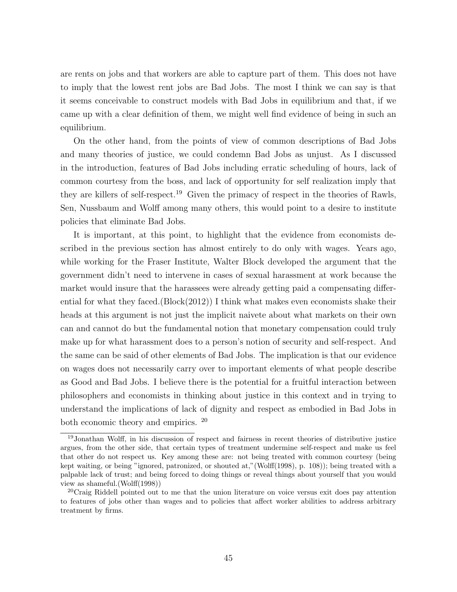are rents on jobs and that workers are able to capture part of them. This does not have to imply that the lowest rent jobs are Bad Jobs. The most I think we can say is that it seems conceivable to construct models with Bad Jobs in equilibrium and that, if we came up with a clear definition of them, we might well find evidence of being in such an equilibrium.

On the other hand, from the points of view of common descriptions of Bad Jobs and many theories of justice, we could condemn Bad Jobs as unjust. As I discussed in the introduction, features of Bad Jobs including erratic scheduling of hours, lack of common courtesy from the boss, and lack of opportunity for self realization imply that they are killers of self-respect.<sup>19</sup> Given the primacy of respect in the theories of Rawls, Sen, Nussbaum and Wolff among many others, this would point to a desire to institute policies that eliminate Bad Jobs.

It is important, at this point, to highlight that the evidence from economists described in the previous section has almost entirely to do only with wages. Years ago, while working for the Fraser Institute, Walter Block developed the argument that the government didn't need to intervene in cases of sexual harassment at work because the market would insure that the harassees were already getting paid a compensating differential for what they faced.(Block(2012)) I think what makes even economists shake their heads at this argument is not just the implicit naivete about what markets on their own can and cannot do but the fundamental notion that monetary compensation could truly make up for what harassment does to a person's notion of security and self-respect. And the same can be said of other elements of Bad Jobs. The implication is that our evidence on wages does not necessarily carry over to important elements of what people describe as Good and Bad Jobs. I believe there is the potential for a fruitful interaction between philosophers and economists in thinking about justice in this context and in trying to understand the implications of lack of dignity and respect as embodied in Bad Jobs in both economic theory and empirics. <sup>20</sup>

<sup>19</sup>Jonathan Wolff, in his discussion of respect and fairness in recent theories of distributive justice argues, from the other side, that certain types of treatment undermine self-respect and make us feel that other do not respect us. Key among these are: not being treated with common courtesy (being kept waiting, or being "ignored, patronized, or shouted at,"(Wolff(1998), p. 108)); being treated with a palpable lack of trust; and being forced to doing things or reveal things about yourself that you would view as shameful.(Wolff(1998))

<sup>&</sup>lt;sup>20</sup>Craig Riddell pointed out to me that the union literature on voice versus exit does pay attention to features of jobs other than wages and to policies that affect worker abilities to address arbitrary treatment by firms.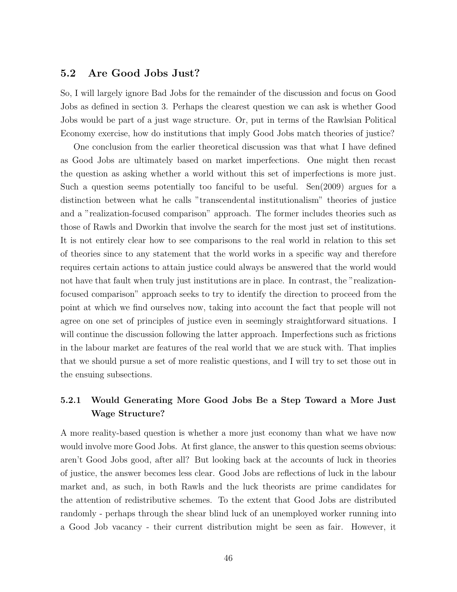### 5.2 Are Good Jobs Just?

So, I will largely ignore Bad Jobs for the remainder of the discussion and focus on Good Jobs as defined in section 3. Perhaps the clearest question we can ask is whether Good Jobs would be part of a just wage structure. Or, put in terms of the Rawlsian Political Economy exercise, how do institutions that imply Good Jobs match theories of justice?

One conclusion from the earlier theoretical discussion was that what I have defined as Good Jobs are ultimately based on market imperfections. One might then recast the question as asking whether a world without this set of imperfections is more just. Such a question seems potentially too fanciful to be useful. Sen(2009) argues for a distinction between what he calls "transcendental institutionalism" theories of justice and a "realization-focused comparison" approach. The former includes theories such as those of Rawls and Dworkin that involve the search for the most just set of institutions. It is not entirely clear how to see comparisons to the real world in relation to this set of theories since to any statement that the world works in a specific way and therefore requires certain actions to attain justice could always be answered that the world would not have that fault when truly just institutions are in place. In contrast, the "realizationfocused comparison" approach seeks to try to identify the direction to proceed from the point at which we find ourselves now, taking into account the fact that people will not agree on one set of principles of justice even in seemingly straightforward situations. I will continue the discussion following the latter approach. Imperfections such as frictions in the labour market are features of the real world that we are stuck with. That implies that we should pursue a set of more realistic questions, and I will try to set those out in the ensuing subsections.

### 5.2.1 Would Generating More Good Jobs Be a Step Toward a More Just Wage Structure?

A more reality-based question is whether a more just economy than what we have now would involve more Good Jobs. At first glance, the answer to this question seems obvious: aren't Good Jobs good, after all? But looking back at the accounts of luck in theories of justice, the answer becomes less clear. Good Jobs are reflections of luck in the labour market and, as such, in both Rawls and the luck theorists are prime candidates for the attention of redistributive schemes. To the extent that Good Jobs are distributed randomly - perhaps through the shear blind luck of an unemployed worker running into a Good Job vacancy - their current distribution might be seen as fair. However, it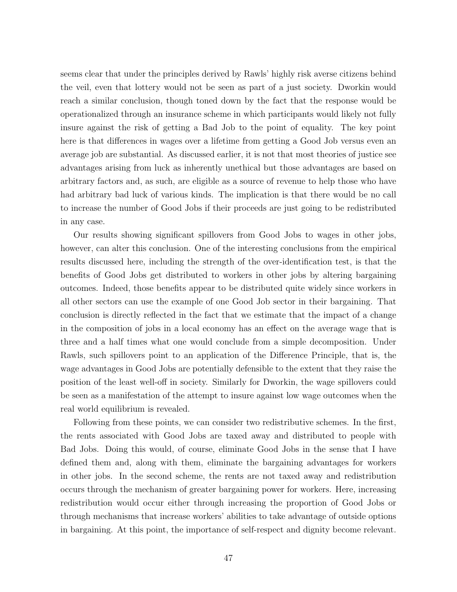seems clear that under the principles derived by Rawls' highly risk averse citizens behind the veil, even that lottery would not be seen as part of a just society. Dworkin would reach a similar conclusion, though toned down by the fact that the response would be operationalized through an insurance scheme in which participants would likely not fully insure against the risk of getting a Bad Job to the point of equality. The key point here is that differences in wages over a lifetime from getting a Good Job versus even an average job are substantial. As discussed earlier, it is not that most theories of justice see advantages arising from luck as inherently unethical but those advantages are based on arbitrary factors and, as such, are eligible as a source of revenue to help those who have had arbitrary bad luck of various kinds. The implication is that there would be no call to increase the number of Good Jobs if their proceeds are just going to be redistributed in any case.

Our results showing significant spillovers from Good Jobs to wages in other jobs, however, can alter this conclusion. One of the interesting conclusions from the empirical results discussed here, including the strength of the over-identification test, is that the benefits of Good Jobs get distributed to workers in other jobs by altering bargaining outcomes. Indeed, those benefits appear to be distributed quite widely since workers in all other sectors can use the example of one Good Job sector in their bargaining. That conclusion is directly reflected in the fact that we estimate that the impact of a change in the composition of jobs in a local economy has an effect on the average wage that is three and a half times what one would conclude from a simple decomposition. Under Rawls, such spillovers point to an application of the Difference Principle, that is, the wage advantages in Good Jobs are potentially defensible to the extent that they raise the position of the least well-off in society. Similarly for Dworkin, the wage spillovers could be seen as a manifestation of the attempt to insure against low wage outcomes when the real world equilibrium is revealed.

Following from these points, we can consider two redistributive schemes. In the first, the rents associated with Good Jobs are taxed away and distributed to people with Bad Jobs. Doing this would, of course, eliminate Good Jobs in the sense that I have defined them and, along with them, eliminate the bargaining advantages for workers in other jobs. In the second scheme, the rents are not taxed away and redistribution occurs through the mechanism of greater bargaining power for workers. Here, increasing redistribution would occur either through increasing the proportion of Good Jobs or through mechanisms that increase workers' abilities to take advantage of outside options in bargaining. At this point, the importance of self-respect and dignity become relevant.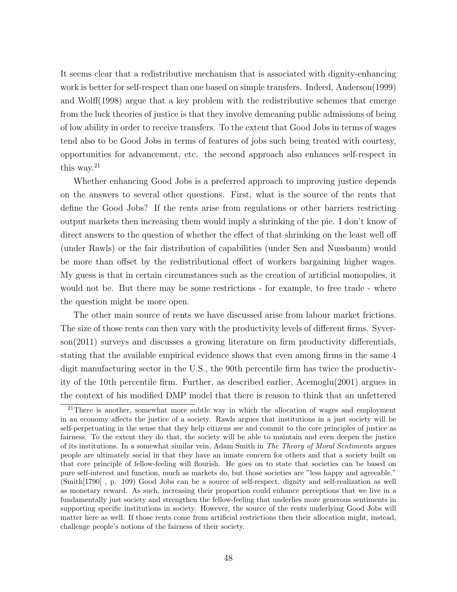It seems clear that a redistributive mechanism that is associated with dignity-enhancing work is better for self-respect than one based on simple transfers. Indeed, Anderson(1999) and Wolff(1998) argue that a key problem with the redistributive schemes that emerge from the luck theories of justice is that they involve demeaning public admissions of being of low ability in order to receive transfers. To the extent that Good Jobs in terms of wages tend also to be Good Jobs in terms of features of jobs such being treated with courtesy, opportunities for advancement, etc. the second approach also enhances self-respect in this way. $^{21}$ 

Whether enhancing Good Jobs is a preferred approach to improving justice depends on the answers to several other questions. First, what is the source of the rents that define the Good Jobs? If the rents arise from regulations or other barriers restricting output markets then increasing them would imply a shrinking of the pie. I don't know of direct answers to the question of whether the effect of that shrinking on the least well off (under Rawls) or the fair distribution of capabilities (under Sen and Nussbaum) would be more than offset by the redistributional effect of workers bargaining higher wages. My guess is that in certain circumstances such as the creation of artificial monopolies, it would not be. But there may be some restrictions - for example, to free trade - where the question might be more open.

The other main source of rents we have discussed arise from labour market frictions. The size of those rents can then vary with the productivity levels of different firms. Syverson(2011) surveys and discusses a growing literature on firm productivity differentials, stating that the available empirical evidence shows that even among firms in the same 4 digit manufacturing sector in the U.S., the 90th percentile firm has twice the productivity of the 10th percentile firm. Further, as described earlier, Acemoglu(2001) argues in the context of his modified DMP model that there is reason to think that an unfettered

 $21$ There is another, somewhat more subtle way in which the allocation of wages and employment in an economy affects the justice of a society. Rawls argues that institutions in a just society will be self-perpetuating in the sense that they help citizens see and commit to the core principles of justice as fairness. To the extent they do that, the society will be able to maintain and even deepen the justice of its institutions. In a somewhat similar vein, Adam Smith in The Theory of Moral Sentiments argues people are ultimately social in that they have an innate concern for others and that a society built on that core principle of fellow-feeling will flourish. He goes on to state that societies can be based on pure self-interest and function, much as markets do, but those societies are "less happy and agreeable." (Smith[1790] , p. 109) Good Jobs can be a source of self-respect, dignity and self-realization as well as monetary reward. As such, increasing their proportion could enhance perceptions that we live in a fundamentally just society and strengthen the fellow-feeling that underlies more generous sentiments in supporting specific institutions in society. However, the source of the rents underlying Good Jobs will matter here as well. If those rents come from artificial restrictions then their allocation might, instead, challenge people's notions of the fairness of their society.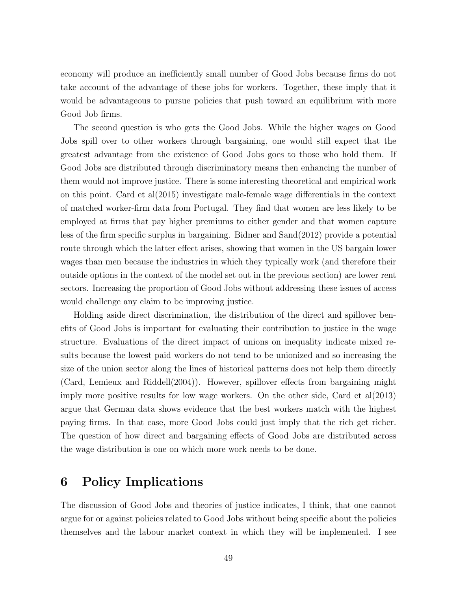economy will produce an inefficiently small number of Good Jobs because firms do not take account of the advantage of these jobs for workers. Together, these imply that it would be advantageous to pursue policies that push toward an equilibrium with more Good Job firms.

The second question is who gets the Good Jobs. While the higher wages on Good Jobs spill over to other workers through bargaining, one would still expect that the greatest advantage from the existence of Good Jobs goes to those who hold them. If Good Jobs are distributed through discriminatory means then enhancing the number of them would not improve justice. There is some interesting theoretical and empirical work on this point. Card et al(2015) investigate male-female wage differentials in the context of matched worker-firm data from Portugal. They find that women are less likely to be employed at firms that pay higher premiums to either gender and that women capture less of the firm specific surplus in bargaining. Bidner and Sand(2012) provide a potential route through which the latter effect arises, showing that women in the US bargain lower wages than men because the industries in which they typically work (and therefore their outside options in the context of the model set out in the previous section) are lower rent sectors. Increasing the proportion of Good Jobs without addressing these issues of access would challenge any claim to be improving justice.

Holding aside direct discrimination, the distribution of the direct and spillover benefits of Good Jobs is important for evaluating their contribution to justice in the wage structure. Evaluations of the direct impact of unions on inequality indicate mixed results because the lowest paid workers do not tend to be unionized and so increasing the size of the union sector along the lines of historical patterns does not help them directly (Card, Lemieux and Riddell(2004)). However, spillover effects from bargaining might imply more positive results for low wage workers. On the other side, Card et al $(2013)$ argue that German data shows evidence that the best workers match with the highest paying firms. In that case, more Good Jobs could just imply that the rich get richer. The question of how direct and bargaining effects of Good Jobs are distributed across the wage distribution is one on which more work needs to be done.

# 6 Policy Implications

The discussion of Good Jobs and theories of justice indicates, I think, that one cannot argue for or against policies related to Good Jobs without being specific about the policies themselves and the labour market context in which they will be implemented. I see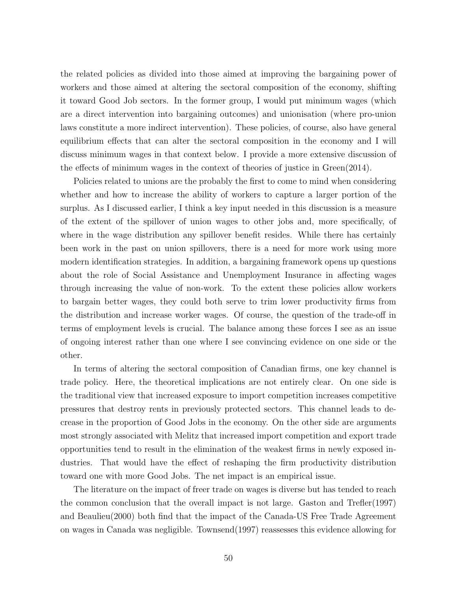the related policies as divided into those aimed at improving the bargaining power of workers and those aimed at altering the sectoral composition of the economy, shifting it toward Good Job sectors. In the former group, I would put minimum wages (which are a direct intervention into bargaining outcomes) and unionisation (where pro-union laws constitute a more indirect intervention). These policies, of course, also have general equilibrium effects that can alter the sectoral composition in the economy and I will discuss minimum wages in that context below. I provide a more extensive discussion of the effects of minimum wages in the context of theories of justice in Green(2014).

Policies related to unions are the probably the first to come to mind when considering whether and how to increase the ability of workers to capture a larger portion of the surplus. As I discussed earlier, I think a key input needed in this discussion is a measure of the extent of the spillover of union wages to other jobs and, more specifically, of where in the wage distribution any spillover benefit resides. While there has certainly been work in the past on union spillovers, there is a need for more work using more modern identification strategies. In addition, a bargaining framework opens up questions about the role of Social Assistance and Unemployment Insurance in affecting wages through increasing the value of non-work. To the extent these policies allow workers to bargain better wages, they could both serve to trim lower productivity firms from the distribution and increase worker wages. Of course, the question of the trade-off in terms of employment levels is crucial. The balance among these forces I see as an issue of ongoing interest rather than one where I see convincing evidence on one side or the other.

In terms of altering the sectoral composition of Canadian firms, one key channel is trade policy. Here, the theoretical implications are not entirely clear. On one side is the traditional view that increased exposure to import competition increases competitive pressures that destroy rents in previously protected sectors. This channel leads to decrease in the proportion of Good Jobs in the economy. On the other side are arguments most strongly associated with Melitz that increased import competition and export trade opportunities tend to result in the elimination of the weakest firms in newly exposed industries. That would have the effect of reshaping the firm productivity distribution toward one with more Good Jobs. The net impact is an empirical issue.

The literature on the impact of freer trade on wages is diverse but has tended to reach the common conclusion that the overall impact is not large. Gaston and Trefler(1997) and Beaulieu(2000) both find that the impact of the Canada-US Free Trade Agreement on wages in Canada was negligible. Townsend(1997) reassesses this evidence allowing for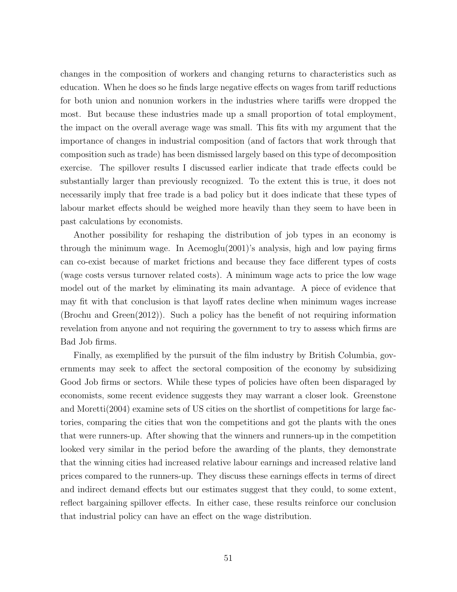changes in the composition of workers and changing returns to characteristics such as education. When he does so he finds large negative effects on wages from tariff reductions for both union and nonunion workers in the industries where tariffs were dropped the most. But because these industries made up a small proportion of total employment, the impact on the overall average wage was small. This fits with my argument that the importance of changes in industrial composition (and of factors that work through that composition such as trade) has been dismissed largely based on this type of decomposition exercise. The spillover results I discussed earlier indicate that trade effects could be substantially larger than previously recognized. To the extent this is true, it does not necessarily imply that free trade is a bad policy but it does indicate that these types of labour market effects should be weighed more heavily than they seem to have been in past calculations by economists.

Another possibility for reshaping the distribution of job types in an economy is through the minimum wage. In Acemoglu(2001)'s analysis, high and low paying firms can co-exist because of market frictions and because they face different types of costs (wage costs versus turnover related costs). A minimum wage acts to price the low wage model out of the market by eliminating its main advantage. A piece of evidence that may fit with that conclusion is that layoff rates decline when minimum wages increase (Brochu and Green(2012)). Such a policy has the benefit of not requiring information revelation from anyone and not requiring the government to try to assess which firms are Bad Job firms.

Finally, as exemplified by the pursuit of the film industry by British Columbia, governments may seek to affect the sectoral composition of the economy by subsidizing Good Job firms or sectors. While these types of policies have often been disparaged by economists, some recent evidence suggests they may warrant a closer look. Greenstone and Moretti(2004) examine sets of US cities on the shortlist of competitions for large factories, comparing the cities that won the competitions and got the plants with the ones that were runners-up. After showing that the winners and runners-up in the competition looked very similar in the period before the awarding of the plants, they demonstrate that the winning cities had increased relative labour earnings and increased relative land prices compared to the runners-up. They discuss these earnings effects in terms of direct and indirect demand effects but our estimates suggest that they could, to some extent, reflect bargaining spillover effects. In either case, these results reinforce our conclusion that industrial policy can have an effect on the wage distribution.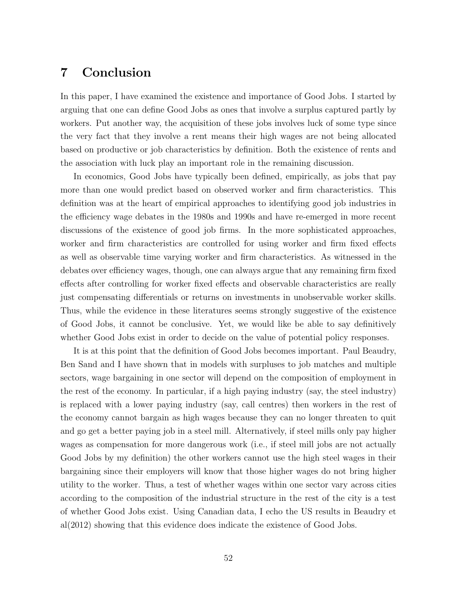# 7 Conclusion

In this paper, I have examined the existence and importance of Good Jobs. I started by arguing that one can define Good Jobs as ones that involve a surplus captured partly by workers. Put another way, the acquisition of these jobs involves luck of some type since the very fact that they involve a rent means their high wages are not being allocated based on productive or job characteristics by definition. Both the existence of rents and the association with luck play an important role in the remaining discussion.

In economics, Good Jobs have typically been defined, empirically, as jobs that pay more than one would predict based on observed worker and firm characteristics. This definition was at the heart of empirical approaches to identifying good job industries in the efficiency wage debates in the 1980s and 1990s and have re-emerged in more recent discussions of the existence of good job firms. In the more sophisticated approaches, worker and firm characteristics are controlled for using worker and firm fixed effects as well as observable time varying worker and firm characteristics. As witnessed in the debates over efficiency wages, though, one can always argue that any remaining firm fixed effects after controlling for worker fixed effects and observable characteristics are really just compensating differentials or returns on investments in unobservable worker skills. Thus, while the evidence in these literatures seems strongly suggestive of the existence of Good Jobs, it cannot be conclusive. Yet, we would like be able to say definitively whether Good Jobs exist in order to decide on the value of potential policy responses.

It is at this point that the definition of Good Jobs becomes important. Paul Beaudry, Ben Sand and I have shown that in models with surpluses to job matches and multiple sectors, wage bargaining in one sector will depend on the composition of employment in the rest of the economy. In particular, if a high paying industry (say, the steel industry) is replaced with a lower paying industry (say, call centres) then workers in the rest of the economy cannot bargain as high wages because they can no longer threaten to quit and go get a better paying job in a steel mill. Alternatively, if steel mills only pay higher wages as compensation for more dangerous work (i.e., if steel mill jobs are not actually Good Jobs by my definition) the other workers cannot use the high steel wages in their bargaining since their employers will know that those higher wages do not bring higher utility to the worker. Thus, a test of whether wages within one sector vary across cities according to the composition of the industrial structure in the rest of the city is a test of whether Good Jobs exist. Using Canadian data, I echo the US results in Beaudry et al(2012) showing that this evidence does indicate the existence of Good Jobs.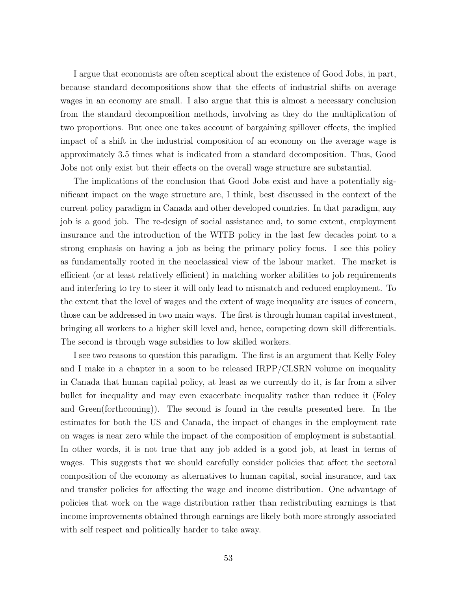I argue that economists are often sceptical about the existence of Good Jobs, in part, because standard decompositions show that the effects of industrial shifts on average wages in an economy are small. I also argue that this is almost a necessary conclusion from the standard decomposition methods, involving as they do the multiplication of two proportions. But once one takes account of bargaining spillover effects, the implied impact of a shift in the industrial composition of an economy on the average wage is approximately 3.5 times what is indicated from a standard decomposition. Thus, Good Jobs not only exist but their effects on the overall wage structure are substantial.

The implications of the conclusion that Good Jobs exist and have a potentially significant impact on the wage structure are, I think, best discussed in the context of the current policy paradigm in Canada and other developed countries. In that paradigm, any job is a good job. The re-design of social assistance and, to some extent, employment insurance and the introduction of the WITB policy in the last few decades point to a strong emphasis on having a job as being the primary policy focus. I see this policy as fundamentally rooted in the neoclassical view of the labour market. The market is efficient (or at least relatively efficient) in matching worker abilities to job requirements and interfering to try to steer it will only lead to mismatch and reduced employment. To the extent that the level of wages and the extent of wage inequality are issues of concern, those can be addressed in two main ways. The first is through human capital investment, bringing all workers to a higher skill level and, hence, competing down skill differentials. The second is through wage subsidies to low skilled workers.

I see two reasons to question this paradigm. The first is an argument that Kelly Foley and I make in a chapter in a soon to be released IRPP/CLSRN volume on inequality in Canada that human capital policy, at least as we currently do it, is far from a silver bullet for inequality and may even exacerbate inequality rather than reduce it (Foley and Green(forthcoming)). The second is found in the results presented here. In the estimates for both the US and Canada, the impact of changes in the employment rate on wages is near zero while the impact of the composition of employment is substantial. In other words, it is not true that any job added is a good job, at least in terms of wages. This suggests that we should carefully consider policies that affect the sectoral composition of the economy as alternatives to human capital, social insurance, and tax and transfer policies for affecting the wage and income distribution. One advantage of policies that work on the wage distribution rather than redistributing earnings is that income improvements obtained through earnings are likely both more strongly associated with self respect and politically harder to take away.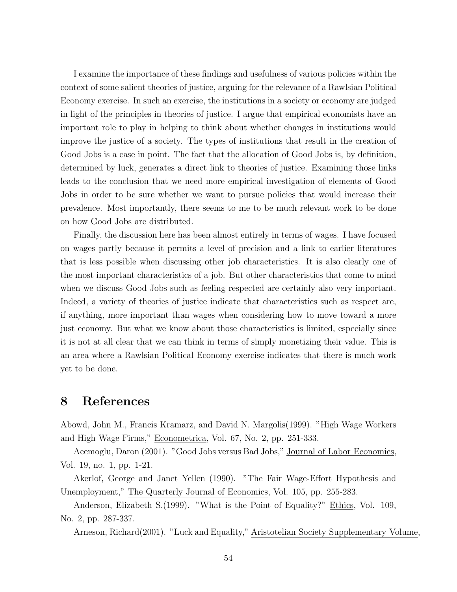I examine the importance of these findings and usefulness of various policies within the context of some salient theories of justice, arguing for the relevance of a Rawlsian Political Economy exercise. In such an exercise, the institutions in a society or economy are judged in light of the principles in theories of justice. I argue that empirical economists have an important role to play in helping to think about whether changes in institutions would improve the justice of a society. The types of institutions that result in the creation of Good Jobs is a case in point. The fact that the allocation of Good Jobs is, by definition, determined by luck, generates a direct link to theories of justice. Examining those links leads to the conclusion that we need more empirical investigation of elements of Good Jobs in order to be sure whether we want to pursue policies that would increase their prevalence. Most importantly, there seems to me to be much relevant work to be done on how Good Jobs are distributed.

Finally, the discussion here has been almost entirely in terms of wages. I have focused on wages partly because it permits a level of precision and a link to earlier literatures that is less possible when discussing other job characteristics. It is also clearly one of the most important characteristics of a job. But other characteristics that come to mind when we discuss Good Jobs such as feeling respected are certainly also very important. Indeed, a variety of theories of justice indicate that characteristics such as respect are, if anything, more important than wages when considering how to move toward a more just economy. But what we know about those characteristics is limited, especially since it is not at all clear that we can think in terms of simply monetizing their value. This is an area where a Rawlsian Political Economy exercise indicates that there is much work yet to be done.

## 8 References

Abowd, John M., Francis Kramarz, and David N. Margolis(1999). "High Wage Workers and High Wage Firms," Econometrica, Vol. 67, No. 2, pp. 251-333.

Acemoglu, Daron (2001). "Good Jobs versus Bad Jobs," Journal of Labor Economics, Vol. 19, no. 1, pp. 1-21.

Akerlof, George and Janet Yellen (1990). "The Fair Wage-Effort Hypothesis and Unemployment," The Quarterly Journal of Economics, Vol. 105, pp. 255-283.

Anderson, Elizabeth S.(1999). "What is the Point of Equality?" Ethics, Vol. 109, No. 2, pp. 287-337.

Arneson, Richard(2001). "Luck and Equality," Aristotelian Society Supplementary Volume,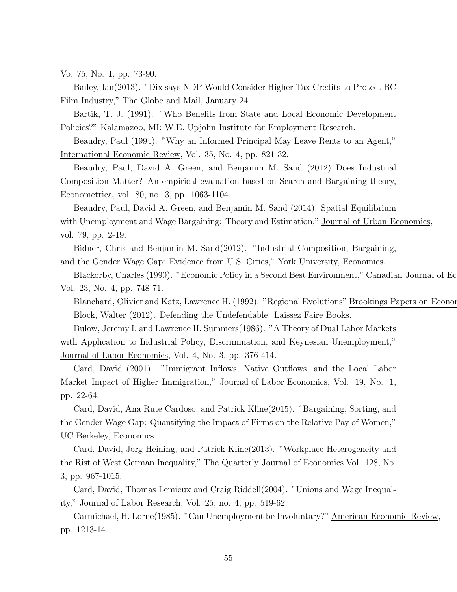Vo. 75, No. 1, pp. 73-90.

Bailey, Ian(2013). "Dix says NDP Would Consider Higher Tax Credits to Protect BC Film Industry," The Globe and Mail, January 24.

Bartik, T. J. (1991). "Who Benefits from State and Local Economic Development Policies?" Kalamazoo, MI: W.E. Upjohn Institute for Employment Research.

Beaudry, Paul (1994). "Why an Informed Principal May Leave Rents to an Agent," International Economic Review, Vol. 35, No. 4, pp. 821-32.

Beaudry, Paul, David A. Green, and Benjamin M. Sand (2012) Does Industrial Composition Matter? An empirical evaluation based on Search and Bargaining theory, Econometrica, vol. 80, no. 3, pp. 1063-1104.

Beaudry, Paul, David A. Green, and Benjamin M. Sand (2014). Spatial Equilibrium with Unemployment and Wage Bargaining: Theory and Estimation," Journal of Urban Economics, vol. 79, pp. 2-19.

Bidner, Chris and Benjamin M. Sand(2012). "Industrial Composition, Bargaining,

and the Gender Wage Gap: Evidence from U.S. Cities," York University, Economics.

Blackorby, Charles (1990). "Economic Policy in a Second Best Environment," Canadian Journal of Ec Vol. 23, No. 4, pp. 748-71.

Blanchard, Olivier and Katz, Lawrence H. (1992). "Regional Evolutions" Brookings Papers on Economic Block, Walter (2012). Defending the Undefendable. Laissez Faire Books.

Bulow, Jeremy I. and Lawrence H. Summers(1986). "A Theory of Dual Labor Markets with Application to Industrial Policy, Discrimination, and Keynesian Unemployment," Journal of Labor Economics, Vol. 4, No. 3, pp. 376-414.

Card, David (2001). "Immigrant Inflows, Native Outflows, and the Local Labor Market Impact of Higher Immigration," Journal of Labor Economics, Vol. 19, No. 1, pp. 22-64.

Card, David, Ana Rute Cardoso, and Patrick Kline(2015). "Bargaining, Sorting, and the Gender Wage Gap: Quantifying the Impact of Firms on the Relative Pay of Women," UC Berkeley, Economics.

Card, David, Jorg Heining, and Patrick Kline(2013). "Workplace Heterogeneity and the Rist of West German Inequality," The Quarterly Journal of Economics Vol. 128, No. 3, pp. 967-1015.

Card, David, Thomas Lemieux and Craig Riddell(2004). "Unions and Wage Inequality," Journal of Labor Research, Vol. 25, no. 4, pp. 519-62.

Carmichael, H. Lorne(1985). "Can Unemployment be Involuntary?" American Economic Review, pp. 1213-14.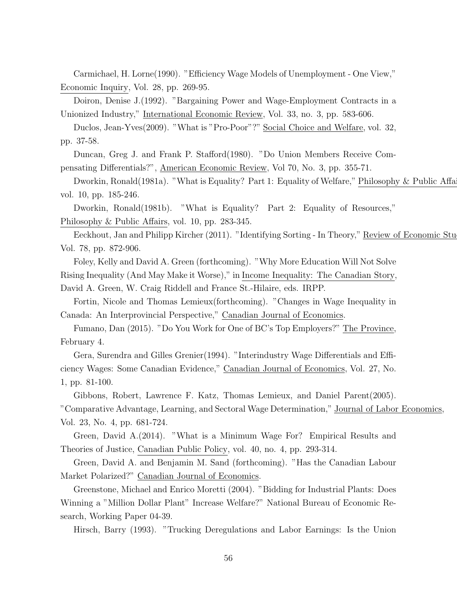Carmichael, H. Lorne(1990). "Efficiency Wage Models of Unemployment - One View," Economic Inquiry, Vol. 28, pp. 269-95.

Doiron, Denise J.(1992). "Bargaining Power and Wage-Employment Contracts in a Unionized Industry," International Economic Review, Vol. 33, no. 3, pp. 583-606.

Duclos, Jean-Yves(2009). "What is "Pro-Poor"?" Social Choice and Welfare, vol. 32, pp. 37-58.

Duncan, Greg J. and Frank P. Stafford(1980). "Do Union Members Receive Compensating Differentials?", American Economic Review, Vol 70, No. 3, pp. 355-71.

Dworkin, Ronald(1981a). "What is Equality? Part 1: Equality of Welfare," Philosophy & Public Affa vol. 10, pp. 185-246.

Dworkin, Ronald(1981b). "What is Equality? Part 2: Equality of Resources," Philosophy & Public Affairs, vol. 10, pp. 283-345.

Eeckhout, Jan and Philipp Kircher (2011). "Identifying Sorting - In Theory," Review of Economic Stu Vol. 78, pp. 872-906.

Foley, Kelly and David A. Green (forthcoming). "Why More Education Will Not Solve

Rising Inequality (And May Make it Worse)," in Income Inequality: The Canadian Story,

David A. Green, W. Craig Riddell and France St.-Hilaire, eds. IRPP.

Fortin, Nicole and Thomas Lemieux(forthcoming). "Changes in Wage Inequality in Canada: An Interprovincial Perspective," Canadian Journal of Economics.

Fumano, Dan (2015). "Do You Work for One of BC's Top Employers?" The Province, February 4.

Gera, Surendra and Gilles Grenier(1994). "Interindustry Wage Differentials and Efficiency Wages: Some Canadian Evidence," Canadian Journal of Economics, Vol. 27, No. 1, pp. 81-100.

Gibbons, Robert, Lawrence F. Katz, Thomas Lemieux, and Daniel Parent(2005).

"Comparative Advantage, Learning, and Sectoral Wage Determination," Journal of Labor Economics, Vol. 23, No. 4, pp. 681-724.

Green, David A.(2014). "What is a Minimum Wage For? Empirical Results and Theories of Justice, Canadian Public Policy, vol. 40, no. 4, pp. 293-314.

Green, David A. and Benjamin M. Sand (forthcoming). "Has the Canadian Labour Market Polarized?" Canadian Journal of Economics.

Greenstone, Michael and Enrico Moretti (2004). "Bidding for Industrial Plants: Does Winning a "Million Dollar Plant" Increase Welfare?" National Bureau of Economic Research, Working Paper 04-39.

Hirsch, Barry (1993). "Trucking Deregulations and Labor Earnings: Is the Union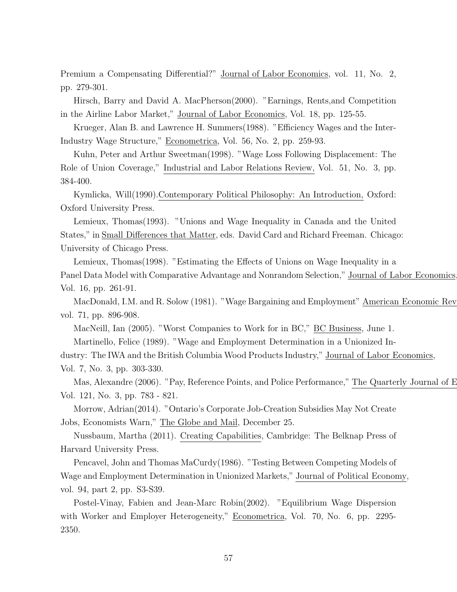Premium a Compensating Differential?" Journal of Labor Economics, vol. 11, No. 2, pp. 279-301.

Hirsch, Barry and David A. MacPherson(2000). "Earnings, Rents,and Competition in the Airline Labor Market," Journal of Labor Economics, Vol. 18, pp. 125-55.

Krueger, Alan B. and Lawrence H. Summers(1988). "Efficiency Wages and the Inter-Industry Wage Structure," Econometrica, Vol. 56, No. 2, pp. 259-93.

Kuhn, Peter and Arthur Sweetman(1998). "Wage Loss Following Displacement: The Role of Union Coverage," Industrial and Labor Relations Review, Vol. 51, No. 3, pp. 384-400.

Kymlicka, Will(1990).Contemporary Political Philosophy: An Introduction, Oxford: Oxford University Press.

Lemieux, Thomas(1993). "Unions and Wage Inequality in Canada and the United States," in Small Differences that Matter, eds. David Card and Richard Freeman. Chicago: University of Chicago Press.

Lemieux, Thomas(1998). "Estimating the Effects of Unions on Wage Inequality in a Panel Data Model with Comparative Advantage and Nonrandom Selection," Journal of Labor Economics, Vol. 16, pp. 261-91.

MacDonald, I.M. and R. Solow (1981). "Wage Bargaining and Employment" American Economic Rev vol. 71, pp. 896-908.

MacNeill, Ian (2005). "Worst Companies to Work for in BC," BC Business, June 1.

Martinello, Felice (1989). "Wage and Employment Determination in a Unionized In-

dustry: The IWA and the British Columbia Wood Products Industry," Journal of Labor Economics,

Vol. 7, No. 3, pp. 303-330.

Mas, Alexandre (2006). "Pay, Reference Points, and Police Performance," The Quarterly Journal of E Vol. 121, No. 3, pp. 783 - 821.

Morrow, Adrian(2014). "Ontario's Corporate Job-Creation Subsidies May Not Create Jobs, Economists Warn," The Globe and Mail, December 25.

Nussbaum, Martha (2011). Creating Capabilities, Cambridge: The Belknap Press of Harvard University Press.

Pencavel, John and Thomas MaCurdy(1986). "Testing Between Competing Models of Wage and Employment Determination in Unionized Markets," Journal of Political Economy, vol. 94, part 2, pp. S3-S39.

Postel-Vinay, Fabien and Jean-Marc Robin(2002). "Equilibrium Wage Dispersion with Worker and Employer Heterogeneity," Econometrica, Vol. 70, No. 6, pp. 2295-2350.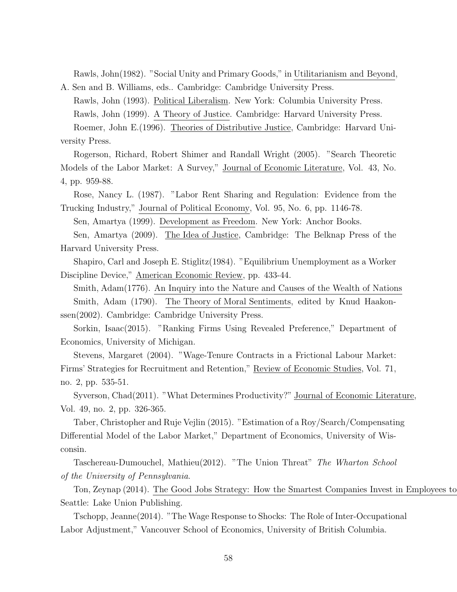Rawls, John(1982). "Social Unity and Primary Goods," in Utilitarianism and Beyond,

A. Sen and B. Williams, eds.. Cambridge: Cambridge University Press. Rawls, John (1993). Political Liberalism. New York: Columbia University Press. Rawls, John (1999). A Theory of Justice. Cambridge: Harvard University Press. Roemer, John E.(1996). Theories of Distributive Justice, Cambridge: Harvard University Press.

Rogerson, Richard, Robert Shimer and Randall Wright (2005). "Search Theoretic Models of the Labor Market: A Survey," Journal of Economic Literature, Vol. 43, No. 4, pp. 959-88.

Rose, Nancy L. (1987). "Labor Rent Sharing and Regulation: Evidence from the Trucking Industry," Journal of Political Economy, Vol. 95, No. 6, pp. 1146-78.

Sen, Amartya (1999). Development as Freedom. New York: Anchor Books.

Sen, Amartya (2009). The Idea of Justice, Cambridge: The Belknap Press of the Harvard University Press.

Shapiro, Carl and Joseph E. Stiglitz(1984). "Equilibrium Unemployment as a Worker Discipline Device," American Economic Review, pp. 433-44.

Smith, Adam(1776). An Inquiry into the Nature and Causes of the Wealth of Nations Smith, Adam (1790). The Theory of Moral Sentiments, edited by Knud Haakonssen(2002). Cambridge: Cambridge University Press.

Sorkin, Isaac(2015). "Ranking Firms Using Revealed Preference," Department of Economics, University of Michigan.

Stevens, Margaret (2004). "Wage-Tenure Contracts in a Frictional Labour Market: Firms' Strategies for Recruitment and Retention," Review of Economic Studies, Vol. 71, no. 2, pp. 535-51.

Syverson, Chad(2011). "What Determines Productivity?" Journal of Economic Literature, Vol. 49, no. 2, pp. 326-365.

Taber, Christopher and Ruje Vejlin (2015). "Estimation of a Roy/Search/Compensating Differential Model of the Labor Market," Department of Economics, University of Wisconsin.

Taschereau-Dumouchel, Mathieu(2012). "The Union Threat" The Wharton School of the University of Pennsylvania.

Ton, Zeynap (2014). The Good Jobs Strategy: How the Smartest Companies Invest in Employees to Seattle: Lake Union Publishing.

Tschopp, Jeanne(2014). "The Wage Response to Shocks: The Role of Inter-Occupational Labor Adjustment," Vancouver School of Economics, University of British Columbia.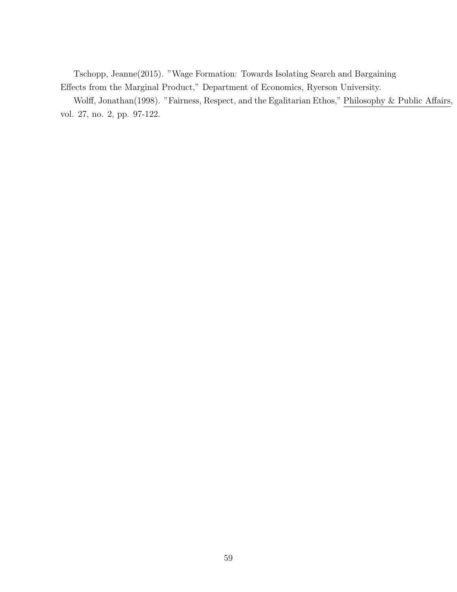Tschopp, Jeanne(2015). "Wage Formation: Towards Isolating Search and Bargaining Effects from the Marginal Product," Department of Economics, Ryerson University.

Wolff, Jonathan(1998). "Fairness, Respect, and the Egalitarian Ethos," Philosophy & Public Affairs, vol. 27, no. 2, pp. 97-122.